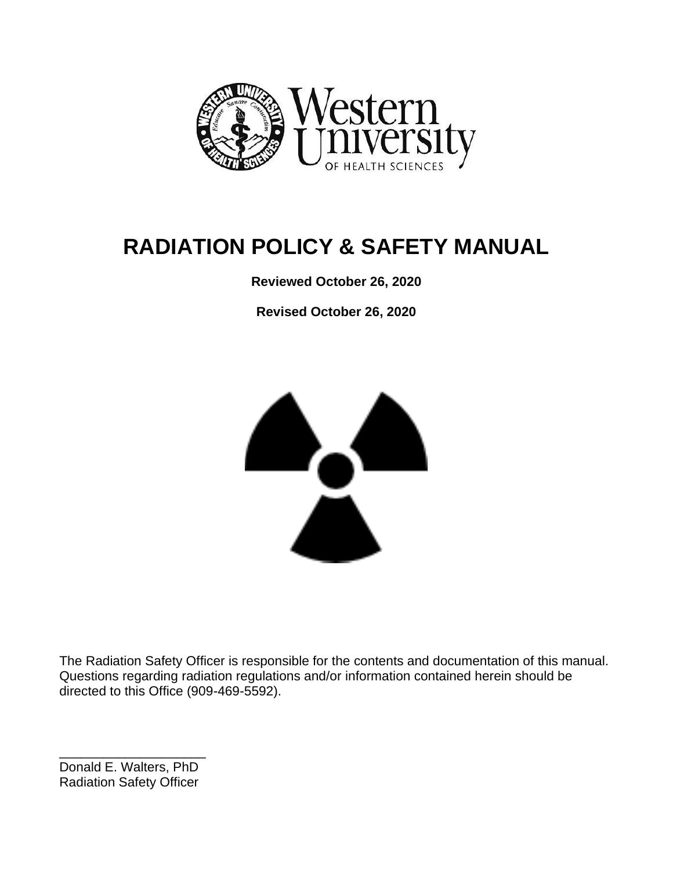

# **RADIATION POLICY & SAFETY MANUAL**

**Reviewed October 26, 2020**

**Revised October 26, 2020**



The Radiation Safety Officer is responsible for the contents and documentation of this manual. Questions regarding radiation regulations and/or information contained herein should be directed to this Office (909-469-5592).

\_\_\_\_\_\_\_\_\_\_\_\_\_\_\_\_\_\_\_\_ Donald E. Walters, PhD Radiation Safety Officer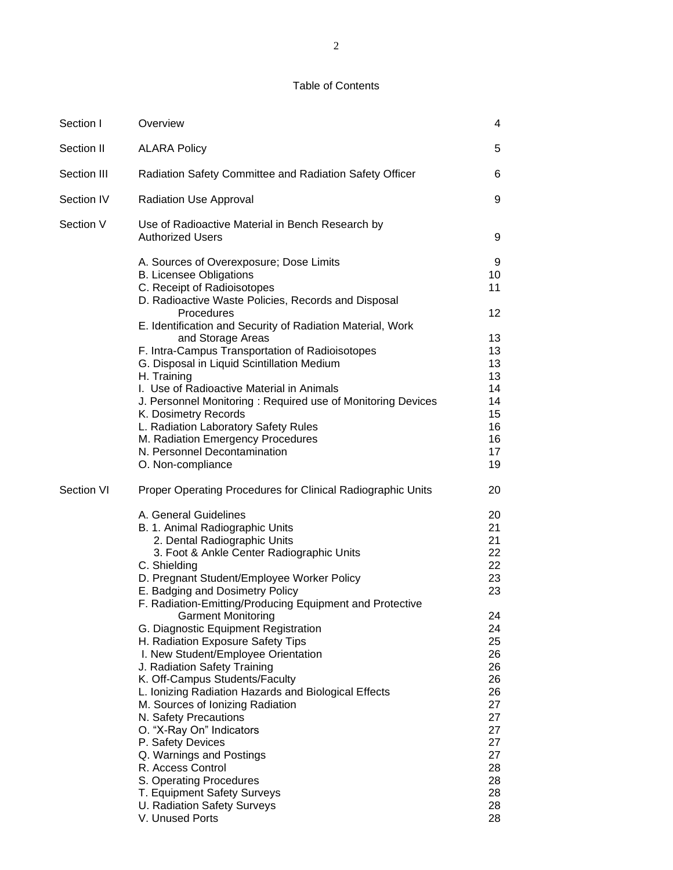#### Table of Contents

| Section I   | Overview                                                                                                                                                                                                                                                                                                                                                                                                                                                                                                                                                                                                                                                                                                                                                                                                                                                              | 4                                                                                                                                      |
|-------------|-----------------------------------------------------------------------------------------------------------------------------------------------------------------------------------------------------------------------------------------------------------------------------------------------------------------------------------------------------------------------------------------------------------------------------------------------------------------------------------------------------------------------------------------------------------------------------------------------------------------------------------------------------------------------------------------------------------------------------------------------------------------------------------------------------------------------------------------------------------------------|----------------------------------------------------------------------------------------------------------------------------------------|
| Section II  | <b>ALARA Policy</b>                                                                                                                                                                                                                                                                                                                                                                                                                                                                                                                                                                                                                                                                                                                                                                                                                                                   | 5                                                                                                                                      |
| Section III | Radiation Safety Committee and Radiation Safety Officer                                                                                                                                                                                                                                                                                                                                                                                                                                                                                                                                                                                                                                                                                                                                                                                                               | 6                                                                                                                                      |
| Section IV  | Radiation Use Approval                                                                                                                                                                                                                                                                                                                                                                                                                                                                                                                                                                                                                                                                                                                                                                                                                                                | 9                                                                                                                                      |
| Section V   | Use of Radioactive Material in Bench Research by<br><b>Authorized Users</b>                                                                                                                                                                                                                                                                                                                                                                                                                                                                                                                                                                                                                                                                                                                                                                                           | 9                                                                                                                                      |
|             | A. Sources of Overexposure; Dose Limits<br><b>B. Licensee Obligations</b><br>C. Receipt of Radioisotopes<br>D. Radioactive Waste Policies, Records and Disposal<br>Procedures<br>E. Identification and Security of Radiation Material, Work<br>and Storage Areas<br>F. Intra-Campus Transportation of Radioisotopes<br>G. Disposal in Liquid Scintillation Medium<br>H. Training<br>I. Use of Radioactive Material in Animals<br>J. Personnel Monitoring: Required use of Monitoring Devices<br>K. Dosimetry Records<br>L. Radiation Laboratory Safety Rules<br>M. Radiation Emergency Procedures<br>N. Personnel Decontamination<br>O. Non-compliance                                                                                                                                                                                                                | 9<br>10<br>11<br>12<br>13<br>13<br>13<br>13<br>14<br>14<br>15<br>16<br>16<br>17<br>19                                                  |
| Section VI  | Proper Operating Procedures for Clinical Radiographic Units<br>A. General Guidelines<br>B. 1. Animal Radiographic Units<br>2. Dental Radiographic Units<br>3. Foot & Ankle Center Radiographic Units<br>C. Shielding<br>D. Pregnant Student/Employee Worker Policy<br>E. Badging and Dosimetry Policy<br>F. Radiation-Emitting/Producing Equipment and Protective<br><b>Garment Monitoring</b><br>G. Diagnostic Equipment Registration<br>H. Radiation Exposure Safety Tips<br>I. New Student/Employee Orientation<br>J. Radiation Safety Training<br>K. Off-Campus Students/Faculty<br>L. Ionizing Radiation Hazards and Biological Effects<br>M. Sources of Ionizing Radiation<br>N. Safety Precautions<br>O. "X-Ray On" Indicators<br>P. Safety Devices<br>Q. Warnings and Postings<br>R. Access Control<br>S. Operating Procedures<br>T. Equipment Safety Surveys | 20<br>20<br>21<br>21<br>22<br>22<br>23<br>23<br>24<br>24<br>25<br>26<br>26<br>26<br>26<br>27<br>27<br>27<br>27<br>27<br>28<br>28<br>28 |
|             | U. Radiation Safety Surveys<br>V. Unused Ports                                                                                                                                                                                                                                                                                                                                                                                                                                                                                                                                                                                                                                                                                                                                                                                                                        | 28<br>28                                                                                                                               |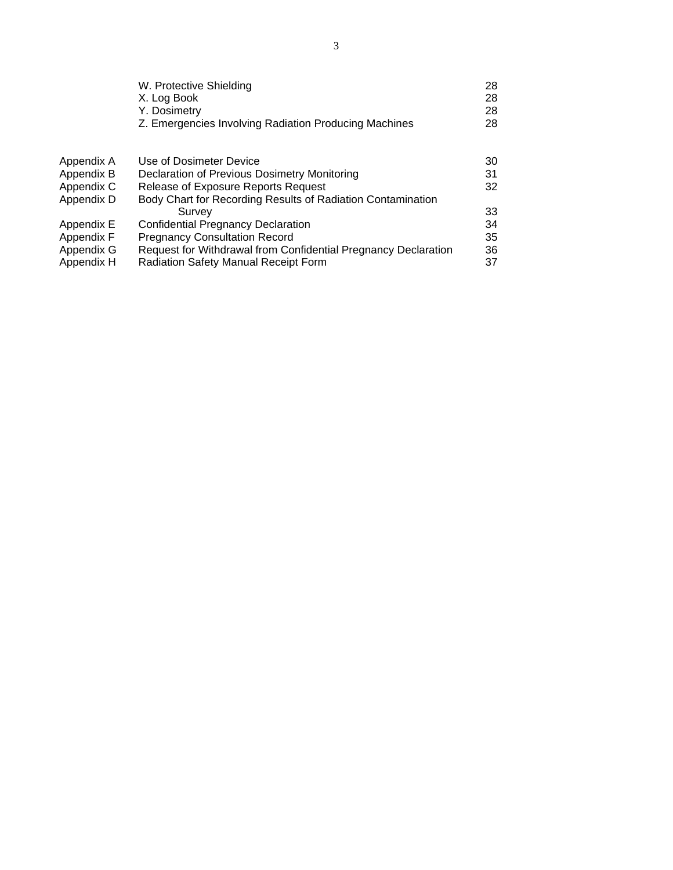|            | W. Protective Shielding<br>X. Log Book<br>Y. Dosimetry<br>Z. Emergencies Involving Radiation Producing Machines | 28<br>28<br>28<br>28 |
|------------|-----------------------------------------------------------------------------------------------------------------|----------------------|
| Appendix A | Use of Dosimeter Device                                                                                         | 30                   |
| Appendix B | Declaration of Previous Dosimetry Monitoring                                                                    | 31                   |
| Appendix C | Release of Exposure Reports Request                                                                             | 32                   |
| Appendix D | Body Chart for Recording Results of Radiation Contamination                                                     |                      |
|            | Survey                                                                                                          | 33                   |
| Appendix E | <b>Confidential Pregnancy Declaration</b>                                                                       | 34                   |
| Appendix F | <b>Pregnancy Consultation Record</b>                                                                            | 35                   |
| Appendix G | Request for Withdrawal from Confidential Pregnancy Declaration                                                  | 36                   |
| Appendix H | <b>Radiation Safety Manual Receipt Form</b>                                                                     | 37                   |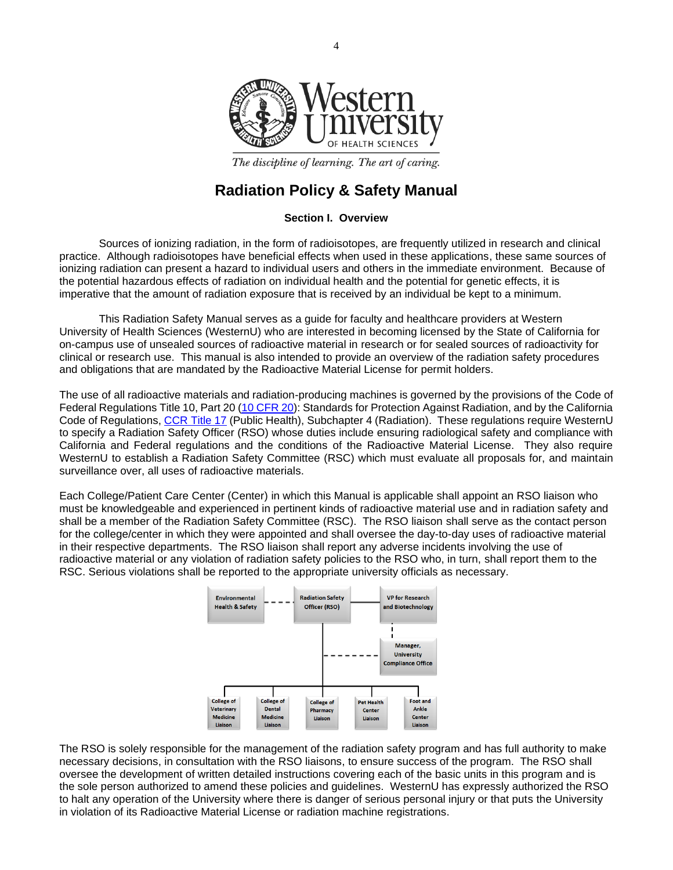

The discipline of learning. The art of caring.

## **Radiation Policy & Safety Manual**

#### **Section I. Overview**

Sources of ionizing radiation, in the form of radioisotopes, are frequently utilized in research and clinical practice. Although radioisotopes have beneficial effects when used in these applications, these same sources of ionizing radiation can present a hazard to individual users and others in the immediate environment. Because of the potential hazardous effects of radiation on individual health and the potential for genetic effects, it is imperative that the amount of radiation exposure that is received by an individual be kept to a minimum.

This Radiation Safety Manual serves as a guide for faculty and healthcare providers at Western University of Health Sciences (WesternU) who are interested in becoming licensed by the State of California for on-campus use of unsealed sources of radioactive material in research or for sealed sources of radioactivity for clinical or research use. This manual is also intended to provide an overview of the radiation safety procedures and obligations that are mandated by the Radioactive Material License for permit holders.

The use of all radioactive materials and radiation-producing machines is governed by the provisions of the Code of Federal Regulations Title 10, Part 20 [\(10 CFR 20\)](https://www.nrc.gov/reading-rm/doc-collections/cfr/part020/): Standards for Protection Against Radiation, and by the California Code of Regulations, [CCR Title 17](http://www.vmb.ca.gov/laws_regs/rad_laws.pdf) (Public Health), Subchapter 4 (Radiation). These regulations require WesternU to specify a Radiation Safety Officer (RSO) whose duties include ensuring radiological safety and compliance with California and Federal regulations and the conditions of the Radioactive Material License. They also require WesternU to establish a Radiation Safety Committee (RSC) which must evaluate all proposals for, and maintain surveillance over, all uses of radioactive materials.

Each College/Patient Care Center (Center) in which this Manual is applicable shall appoint an RSO liaison who must be knowledgeable and experienced in pertinent kinds of radioactive material use and in radiation safety and shall be a member of the Radiation Safety Committee (RSC). The RSO liaison shall serve as the contact person for the college/center in which they were appointed and shall oversee the day-to-day uses of radioactive material in their respective departments. The RSO liaison shall report any adverse incidents involving the use of radioactive material or any violation of radiation safety policies to the RSO who, in turn, shall report them to the RSC. Serious violations shall be reported to the appropriate university officials as necessary.



The RSO is solely responsible for the management of the radiation safety program and has full authority to make necessary decisions, in consultation with the RSO liaisons, to ensure success of the program. The RSO shall oversee the development of written detailed instructions covering each of the basic units in this program and is the sole person authorized to amend these policies and guidelines. WesternU has expressly authorized the RSO to halt any operation of the University where there is danger of serious personal injury or that puts the University in violation of its Radioactive Material License or radiation machine registrations.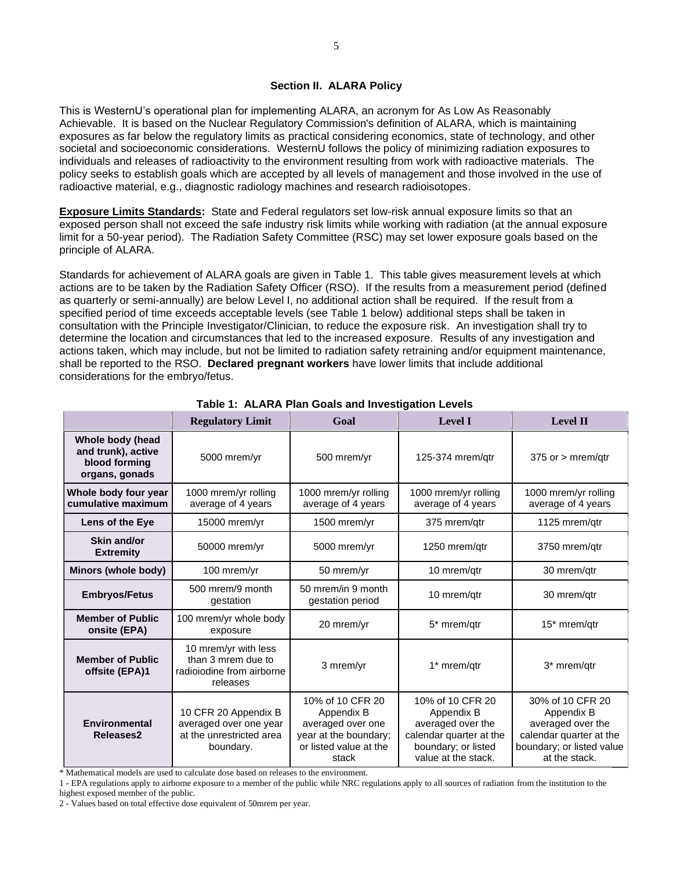This is WesternU's operational plan for implementing ALARA, an acronym for As Low As Reasonably Achievable. It is based on the Nuclear Regulatory Commission's definition of ALARA, which is maintaining exposures as far below the regulatory limits as practical considering economics, state of technology, and other societal and socioeconomic considerations. WesternU follows the policy of minimizing radiation exposures to individuals and releases of radioactivity to the environment resulting from work with radioactive materials. The policy seeks to establish goals which are accepted by all levels of management and those involved in the use of radioactive material, e.g., diagnostic radiology machines and research radioisotopes.

**Exposure Limits Standards:** State and Federal regulators set low-risk annual exposure limits so that an exposed person shall not exceed the safe industry risk limits while working with radiation (at the annual exposure limit for a 50-year period). The Radiation Safety Committee (RSC) may set lower exposure goals based on the principle of [ALARA.](http://www.uos.harvard.edu/ehs/radiation/alara_policy.shtml)

Standards for achievement of ALARA goals are given in Table 1. This table gives measurement levels at which actions are to be taken by the Radiation Safety Officer (RSO). If the results from a measurement period (defined as quarterly or semi-annually) are below Level I, no additional action shall be required. If the result from a specified period of time exceeds acceptable levels (see Table 1 below) additional steps shall be taken in consultation with the Principle Investigator/Clinician, to reduce the exposure risk. An investigation shall try to determine the location and circumstances that led to the increased exposure. Results of any investigation and actions taken, which may include, but not be limited to radiation safety retraining and/or equipment maintenance, shall be reported to the RSO. **[Declared pregnant workers](http://www.uos.harvard.edu/ehs/radiation/pregnant_worker_policy_form.shtml)** have lower limits that include additional considerations for the embryo/fetus.

|                                                                           | <b>Regulatory Limit</b>                                                                 | Goal                                                                                                            | <b>Level I</b>                                                                                                               | <b>Level II</b>                                                                                                              |
|---------------------------------------------------------------------------|-----------------------------------------------------------------------------------------|-----------------------------------------------------------------------------------------------------------------|------------------------------------------------------------------------------------------------------------------------------|------------------------------------------------------------------------------------------------------------------------------|
| Whole body (head<br>and trunk), active<br>blood forming<br>organs, gonads | 5000 mrem/yr                                                                            | 500 mrem/yr                                                                                                     | 125-374 mrem/gtr                                                                                                             | $375$ or $>$ mrem/gtr                                                                                                        |
| Whole body four year<br>cumulative maximum                                | 1000 mrem/yr rolling<br>average of 4 years                                              | 1000 mrem/yr rolling<br>average of 4 years                                                                      | 1000 mrem/yr rolling<br>average of 4 years                                                                                   | 1000 mrem/yr rolling<br>average of 4 years                                                                                   |
| Lens of the Eye                                                           | 15000 mrem/yr                                                                           | 1500 mrem/yr                                                                                                    | 375 mrem/qtr                                                                                                                 | 1125 mrem/gtr                                                                                                                |
| Skin and/or<br><b>Extremity</b>                                           | 50000 mrem/yr                                                                           | 5000 mrem/yr                                                                                                    | 1250 mrem/gtr                                                                                                                | 3750 mrem/gtr                                                                                                                |
| Minors (whole body)                                                       | 100 mrem/yr                                                                             | 50 mrem/yr                                                                                                      | 10 mrem/gtr                                                                                                                  | 30 mrem/gtr                                                                                                                  |
| <b>Embryos/Fetus</b>                                                      | 500 mrem/9 month<br>gestation                                                           | 50 mrem/in 9 month<br>gestation period                                                                          | 10 mrem/qtr                                                                                                                  | 30 mrem/gtr                                                                                                                  |
| <b>Member of Public</b><br>onsite (EPA)                                   | 100 mrem/yr whole body<br>exposure                                                      | 20 mrem/yr                                                                                                      | 5* mrem/gtr                                                                                                                  | 15* mrem/gtr                                                                                                                 |
| <b>Member of Public</b><br>offsite (EPA)1                                 | 10 mrem/yr with less<br>than 3 mrem due to<br>radioiodine from airborne<br>releases     | 3 mrem/yr                                                                                                       | 1* mrem/qtr                                                                                                                  | 3* mrem/qtr                                                                                                                  |
| Environmental<br>Releases2                                                | 10 CFR 20 Appendix B<br>averaged over one year<br>at the unrestricted area<br>boundary. | 10% of 10 CFR 20<br>Appendix B<br>averaged over one<br>year at the boundary;<br>or listed value at the<br>stack | 10% of 10 CFR 20<br>Appendix B<br>averaged over the<br>calendar quarter at the<br>boundary; or listed<br>value at the stack. | 30% of 10 CFR 20<br>Appendix B<br>averaged over the<br>calendar quarter at the<br>boundary; or listed value<br>at the stack. |

**Table 1: ALARA Plan Goals and Investigation Levels**

\* Mathematical models are used to calculate dose based on releases to the environment.

1 - EPA regulations apply to airborne exposure to a member of the public while NRC regulations apply to all sources of radiation from the institution to the highest exposed member of the public.

2 - Values based on total effective dose equivalent of 50mrem per year.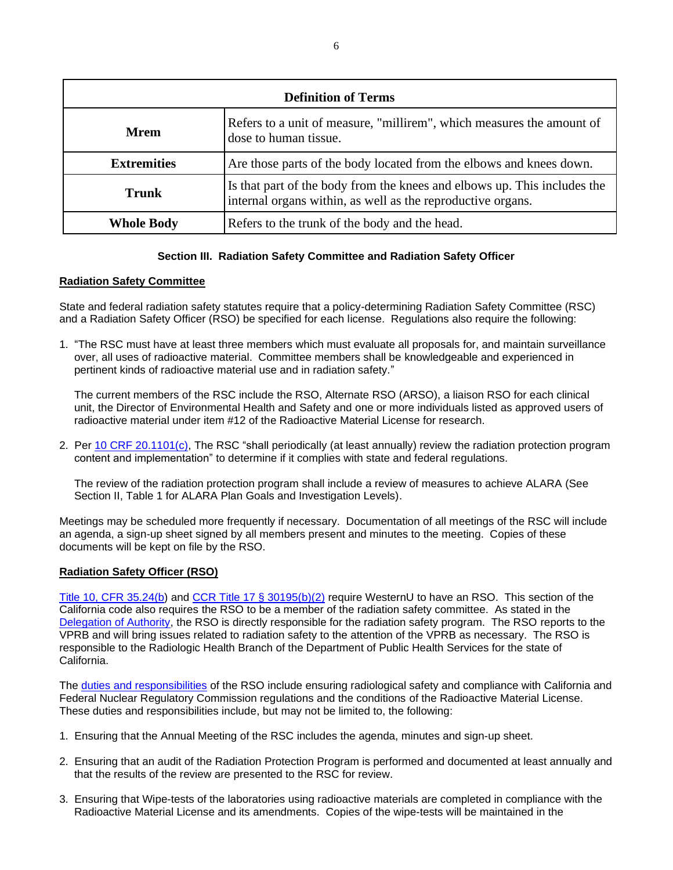| <b>Definition of Terms</b> |                                                                                                                                         |  |
|----------------------------|-----------------------------------------------------------------------------------------------------------------------------------------|--|
| Mrem                       | Refers to a unit of measure, "millirem", which measures the amount of<br>dose to human tissue.                                          |  |
| <b>Extremities</b>         | Are those parts of the body located from the elbows and knees down.                                                                     |  |
| <b>Trunk</b>               | Is that part of the body from the knees and elbows up. This includes the<br>internal organs within, as well as the reproductive organs. |  |
| <b>Whole Body</b>          | Refers to the trunk of the body and the head.                                                                                           |  |

#### **Section III. Radiation Safety Committee and Radiation Safety Officer**

#### **Radiation Safety Committee**

State and federal radiation safety statutes require that a policy-determining Radiation Safety Committee (RSC) and a Radiation Safety Officer (RSO) be specified for each license. Regulations also require the following:

1. "The RSC must have at least three members which must evaluate all proposals for, and maintain surveillance over, all uses of radioactive material. Committee members shall be knowledgeable and experienced in pertinent kinds of radioactive material use and in radiation safety."

The current members of the RSC include the RSO, Alternate RSO (ARSO), a liaison RSO for each clinical unit, the Director of Environmental Health and Safety and one or more individuals listed as approved users of radioactive material under item #12 of the Radioactive Material License for research.

2. Per [10 CRF 20.1101\(c\),](https://www.nrc.gov/reading-rm/doc-collections/cfr/part020/part020-1101.html) The RSC "shall periodically (at least annually) review the radiation protection program content and implementation" to determine if it complies with state and federal regulations.

The review of the radiation protection program shall include a review of measures to achieve ALARA (See Section II, Table 1 for ALARA Plan Goals and Investigation Levels).

Meetings may be scheduled more frequently if necessary. Documentation of all meetings of the RSC will include an agenda, a sign-up sheet signed by all members present and minutes to the meeting. Copies of these documents will be kept on file by the RSO.

#### **Radiation Safety Officer (RSO)**

[Title 10, CFR 35.24\(b\)](https://www.nrc.gov/reading-rm/doc-collections/cfr/part035/part035-0024.html) and [CCR Title 17 § 30195\(b\)\(2\)](http://carules.elaws.us/code/t.26_d.17_sec.17-30195) require WesternU to have an RSO. This section of the California code also requires the RSO to be a member of the radiation safety committee. As stated in the [Delegation of Authority,](https://www.cdph.ca.gov/CDPH%20Document%20Library/ControlledForms/cdph8243IR1.pdf) the RSO is directly responsible for the radiation safety program. The RSO reports to the VPRB and will bring issues related to radiation safety to the attention of the VPRB as necessary. The RSO is responsible to the Radiologic Health Branch of the Department of Public Health Services for the state of California.

The [duties and responsibilities](https://www.cdph.ca.gov/CDPH%20Document%20Library/ControlledForms/cdph8243MRA.pdf) of the RSO include ensuring radiological safety and compliance with California and Federal Nuclear Regulatory Commission regulations and the conditions of the Radioactive Material License. These duties and responsibilities include, but may not be limited to, the following:

- 1. Ensuring that the Annual Meeting of the RSC includes the agenda, minutes and sign-up sheet.
- 2. Ensuring that an audit of the Radiation Protection Program is performed and documented at least annually and that the results of the review are presented to the RSC for review.
- 3. Ensuring that Wipe-tests of the laboratories using radioactive materials are completed in compliance with the Radioactive Material License and its amendments. Copies of the wipe-tests will be maintained in the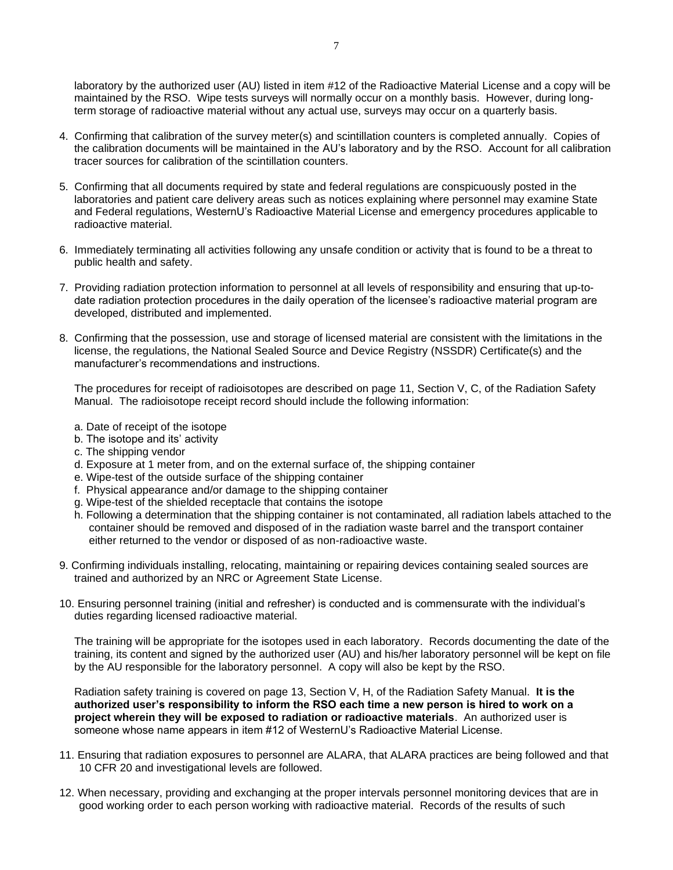laboratory by the authorized user (AU) listed in item #12 of the Radioactive Material License and a copy will be maintained by the RSO. Wipe tests surveys will normally occur on a monthly basis. However, during longterm storage of radioactive material without any actual use, surveys may occur on a quarterly basis.

- 4. Confirming that calibration of the survey meter(s) and scintillation counters is completed annually. Copies of the calibration documents will be maintained in the AU's laboratory and by the RSO. Account for all calibration tracer sources for calibration of the scintillation counters.
- 5. Confirming that all documents required by state and federal regulations are conspicuously posted in the laboratories and patient care delivery areas such as notices explaining where personnel may examine State and Federal regulations, WesternU's Radioactive Material License and emergency procedures applicable to radioactive material.
- 6. Immediately terminating all activities following any unsafe condition or activity that is found to be a threat to public health and safety.
- 7. Providing radiation protection information to personnel at all levels of responsibility and ensuring that up-todate radiation protection procedures in the daily operation of the licensee's radioactive material program are developed, distributed and implemented.
- 8. Confirming that the possession, use and storage of licensed material are consistent with the limitations in the license, the regulations, the National Sealed Source and Device Registry (NSSDR) Certificate(s) and the manufacturer's recommendations and instructions.

The procedures for receipt of radioisotopes are described on page 11, Section V, C, of the Radiation Safety Manual. The radioisotope receipt record should include the following information:

- a. Date of receipt of the isotope
- b. The isotope and its' activity
- c. The shipping vendor
- d. Exposure at 1 meter from, and on the external surface of, the shipping container
- e. Wipe-test of the outside surface of the shipping container
- f. Physical appearance and/or damage to the shipping container
- g. Wipe-test of the shielded receptacle that contains the isotope
- h. Following a determination that the shipping container is not contaminated, all radiation labels attached to the container should be removed and disposed of in the radiation waste barrel and the transport container either returned to the vendor or disposed of as non-radioactive waste.
- 9. Confirming individuals installing, relocating, maintaining or repairing devices containing sealed sources are trained and authorized by an NRC or Agreement State License.
- 10. Ensuring personnel training (initial and refresher) is conducted and is commensurate with the individual's duties regarding licensed radioactive material.

The training will be appropriate for the isotopes used in each laboratory. Records documenting the date of the training, its content and signed by the authorized user (AU) and his/her laboratory personnel will be kept on file by the AU responsible for the laboratory personnel. A copy will also be kept by the RSO.

Radiation safety training is covered on page 13, Section V, H, of the Radiation Safety Manual. **It is the authorized user's responsibility to inform the RSO each time a new person is hired to work on a project wherein they will be exposed to radiation or radioactive materials**. An authorized user is someone whose name appears in item #12 of WesternU's Radioactive Material License.

- 11. Ensuring that radiation exposures to personnel are ALARA, that ALARA practices are being followed and that 10 CFR 20 and investigational levels are followed.
- 12. When necessary, providing and exchanging at the proper intervals personnel monitoring devices that are in good working order to each person working with radioactive material. Records of the results of such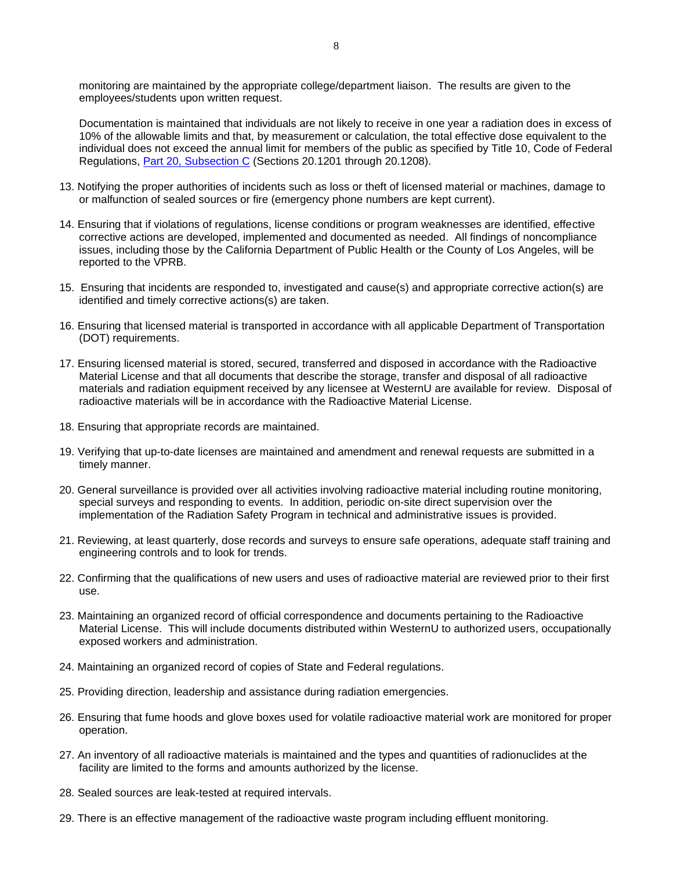monitoring are maintained by the appropriate college/department liaison. The results are given to the employees/students upon written request.

Documentation is maintained that individuals are not likely to receive in one year a radiation does in excess of 10% of the allowable limits and that, by measurement or calculation, the total effective dose equivalent to the individual does not exceed the annual limit for members of the public as specified by Title 10, Code of Federal Regulations, [Part 20, Subsection C](http://www.nrc.gov/reading-rm/doc-collections/cfr/part020/) (Sections 20.1201 through 20.1208).

- 13. Notifying the proper authorities of incidents such as loss or theft of licensed material or machines, damage to or malfunction of sealed sources or fire (emergency phone numbers are kept current).
- 14. Ensuring that if violations of regulations, license conditions or program weaknesses are identified, effective corrective actions are developed, implemented and documented as needed. All findings of noncompliance issues, including those by the California Department of Public Health or the County of Los Angeles, will be reported to the VPRB.
- 15. Ensuring that incidents are responded to, investigated and cause(s) and appropriate corrective action(s) are identified and timely corrective actions(s) are taken.
- 16. Ensuring that licensed material is transported in accordance with all applicable Department of Transportation (DOT) requirements.
- 17. Ensuring licensed material is stored, secured, transferred and disposed in accordance with the Radioactive Material License and that all documents that describe the storage, transfer and disposal of all radioactive materials and radiation equipment received by any licensee at WesternU are available for review. Disposal of radioactive materials will be in accordance with the Radioactive Material License.
- 18. Ensuring that appropriate records are maintained.
- 19. Verifying that up-to-date licenses are maintained and amendment and renewal requests are submitted in a timely manner.
- 20. General surveillance is provided over all activities involving radioactive material including routine monitoring, special surveys and responding to events. In addition, periodic on-site direct supervision over the implementation of the Radiation Safety Program in technical and administrative issues is provided.
- 21. Reviewing, at least quarterly, dose records and surveys to ensure safe operations, adequate staff training and engineering controls and to look for trends.
- 22. Confirming that the qualifications of new users and uses of radioactive material are reviewed prior to their first use.
- 23. Maintaining an organized record of official correspondence and documents pertaining to the Radioactive Material License. This will include documents distributed within WesternU to authorized users, occupationally exposed workers and administration.
- 24. Maintaining an organized record of copies of State and Federal regulations.
- 25. Providing direction, leadership and assistance during radiation emergencies.
- 26. Ensuring that fume hoods and glove boxes used for volatile radioactive material work are monitored for proper operation.
- 27. An inventory of all radioactive materials is maintained and the types and quantities of radionuclides at the facility are limited to the forms and amounts authorized by the license.
- 28. Sealed sources are leak-tested at required intervals.
- 29. There is an effective management of the radioactive waste program including effluent monitoring.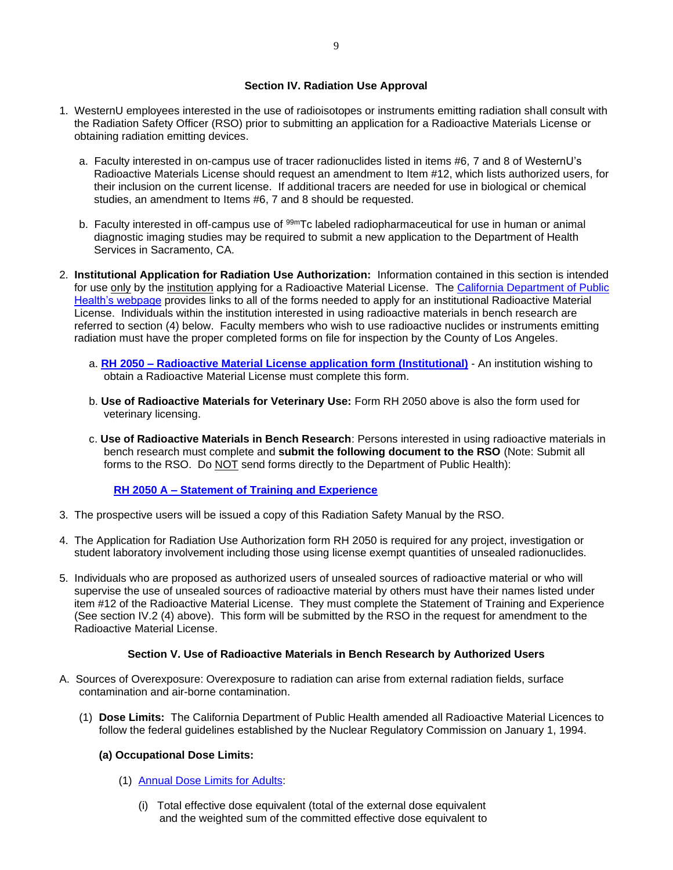#### **Section IV. Radiation Use Approval**

- 1. WesternU employees interested in the use of radioisotopes or instruments emitting radiation shall consult with the Radiation Safety Officer (RSO) prior to submitting an application for a Radioactive Materials License or obtaining radiation emitting devices.
	- a. Faculty interested in on-campus use of tracer radionuclides listed in items #6, 7 and 8 of WesternU's Radioactive Materials License should request an amendment to Item #12, which lists authorized users, for their inclusion on the current license. If additional tracers are needed for use in biological or chemical studies, an amendment to Items #6, 7 and 8 should be requested.
	- b. Faculty interested in off-campus use of <sup>99m</sup>Tc labeled radiopharmaceutical for use in human or animal diagnostic imaging studies may be required to submit a new application to the Department of Health Services in Sacramento, CA.
- 2. **Institutional Application for Radiation Use Authorization:** Information contained in this section is intended for use only by the institution applying for a Radioactive Material License. The [California Department of Public](https://www.cdph.ca.gov/Programs/PSB/Pages/Forms.aspx)  [Health's webpage](https://www.cdph.ca.gov/Programs/PSB/Pages/Forms.aspx) provides links to all of the forms needed to apply for an institutional Radioactive Material License. Individuals within the institution interested in using radioactive materials in bench research are referred to section (4) below. Faculty members who wish to use radioactive nuclides or instruments emitting radiation must have the proper completed forms on file for inspection by the County of Los Angeles.
	- a. **RH 2050 – [Radioactive Material License application form](https://www.cdph.ca.gov/CDPH%20Document%20Library/ControlledForms/rh2050.pdf) (Institutional)** An institution wishing to obtain a Radioactive Material License must complete this form.
	- b. **Use of Radioactive Materials for Veterinary Use:** Form RH 2050 above is also the form used for veterinary licensing.
	- c. **Use of Radioactive Materials in Bench Research**: Persons interested in using radioactive materials in bench research must complete and **submit the following document to the RSO** (Note: Submit all forms to the RSO. Do NOT send forms directly to the Department of Public Health):

#### **RH 2050 A – [Statement of Training and Experience](https://www.cdph.ca.gov/CDPH%20Document%20Library/ControlledForms/rh2050a.pdf)**

- 3. The prospective users will be issued a copy of this Radiation Safety Manual by the RSO.
- 4. The Application for Radiation Use Authorization form RH 2050 is required for any project, investigation or student laboratory involvement including those using license exempt quantities of unsealed radionuclides.
- 5. Individuals who are proposed as authorized users of unsealed sources of radioactive material or who will supervise the use of unsealed sources of radioactive material by others must have their names listed under item #12 of the Radioactive Material License. They must complete the Statement of Training and Experience (See section IV.2 (4) above). This form will be submitted by the RSO in the request for amendment to the Radioactive Material License.

#### **Section V. Use of Radioactive Materials in Bench Research by Authorized Users**

- A. Sources of Overexposure: Overexposure to radiation can arise from external radiation fields, surface contamination and air-borne contamination.
	- (1) **Dose Limits:** The California Department of Public Health amended all Radioactive Material Licences to follow the federal guidelines established by the Nuclear Regulatory Commission on January 1, 1994.

#### **(a) Occupational Dose Limits:**

- (1) [Annual Dose Limits for](http://www.nrc.gov/reading-rm/doc-collections/cfr/part020/part020-1201.html) Adults:
	- (i) Total effective dose equivalent (total of the external dose equivalent and the weighted sum of the committed effective dose equivalent to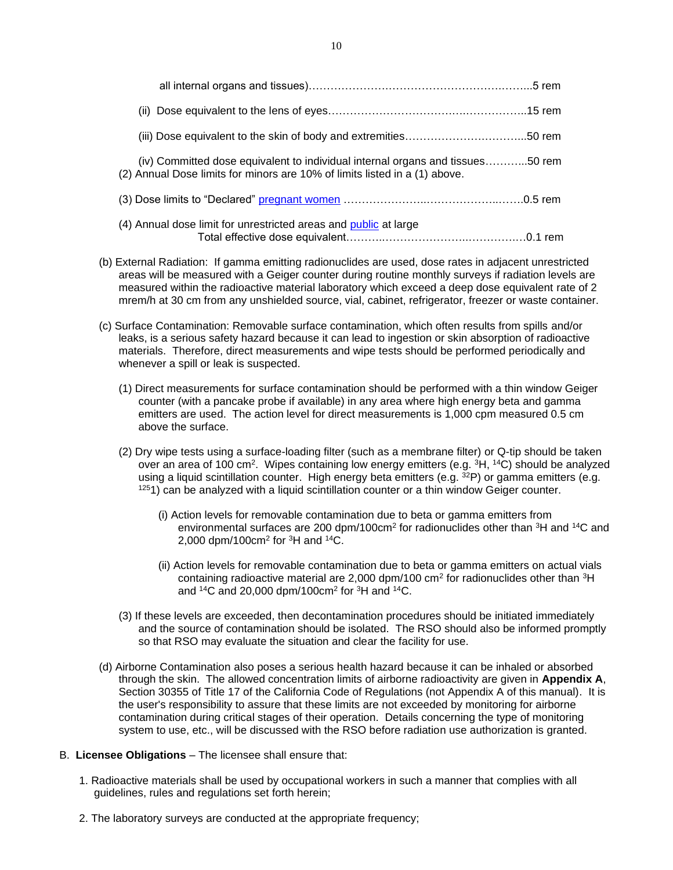| (iv) Committed dose equivalent to individual internal organs and tissues50 rem<br>(2) Annual Dose limits for minors are 10% of limits listed in a (1) above. |  |
|--------------------------------------------------------------------------------------------------------------------------------------------------------------|--|
|                                                                                                                                                              |  |
| (4) Annual dose limit for unrestricted areas and public at large                                                                                             |  |

- (b) External Radiation: If gamma emitting radionuclides are used, dose rates in adjacent unrestricted areas will be measured with a Geiger counter during routine monthly surveys if radiation levels are measured within the radioactive material laboratory which exceed a deep dose equivalent rate of 2 mrem/h at 30 cm from any unshielded source, vial, cabinet, refrigerator, freezer or waste container.
- (c) Surface Contamination: Removable surface contamination, which often results from spills and/or leaks, is a serious safety hazard because it can lead to ingestion or skin absorption of radioactive materials. Therefore, direct measurements and wipe tests should be performed periodically and whenever a spill or leak is suspected.
	- (1) Direct measurements for surface contamination should be performed with a thin window Geiger counter (with a pancake probe if available) in any area where high energy beta and gamma emitters are used. The action level for direct measurements is 1,000 cpm measured 0.5 cm above the surface.
	- (2) Dry wipe tests using a surface-loading filter (such as a membrane filter) or Q-tip should be taken over an area of 100 cm<sup>2</sup>. Wipes containing low energy emitters (e.g. <sup>3</sup>H, <sup>14</sup>C) should be analyzed using a liquid scintillation counter. High energy beta emitters (e.g. 32P) or gamma emitters (e.g. <sup>125</sup>1) can be analyzed with a liquid scintillation counter or a thin window Geiger counter.
		- (i) Action levels for removable contamination due to beta or gamma emitters from environmental surfaces are 200 dpm/100cm<sup>2</sup> for radionuclides other than  $3H$  and  $14C$  and 2,000 dpm/100cm<sup>2</sup> for  ${}^{3}$ H and  ${}^{14}$ C.
		- (ii) Action levels for removable contamination due to beta or gamma emitters on actual vials containing radioactive material are 2,000 dpm/100 cm<sup>2</sup> for radionuclides other than  ${}^{3}$ H and  $14C$  and 20,000 dpm/100cm<sup>2</sup> for  $3H$  and  $14C$ .
	- (3) If these levels are exceeded, then decontamination procedures should be initiated immediately and the source of contamination should be isolated. The RSO should also be informed promptly so that RSO may evaluate the situation and clear the facility for use.
- (d) Airborne Contamination also poses a serious health hazard because it can be inhaled or absorbed through the skin. The allowed concentration limits of airborne radioactivity are given in **Appendix A**, Section 30355 of Title 17 of the California Code of Regulations (not Appendix A of this manual). It is the user's responsibility to assure that these limits are not exceeded by monitoring for airborne contamination during critical stages of their operation. Details concerning the type of monitoring system to use, etc., will be discussed with the RSO before radiation use authorization is granted.

#### B. **Licensee Obligations** – The licensee shall ensure that:

- 1. Radioactive materials shall be used by occupational workers in such a manner that complies with all guidelines, rules and regulations set forth herein;
- 2. The laboratory surveys are conducted at the appropriate frequency;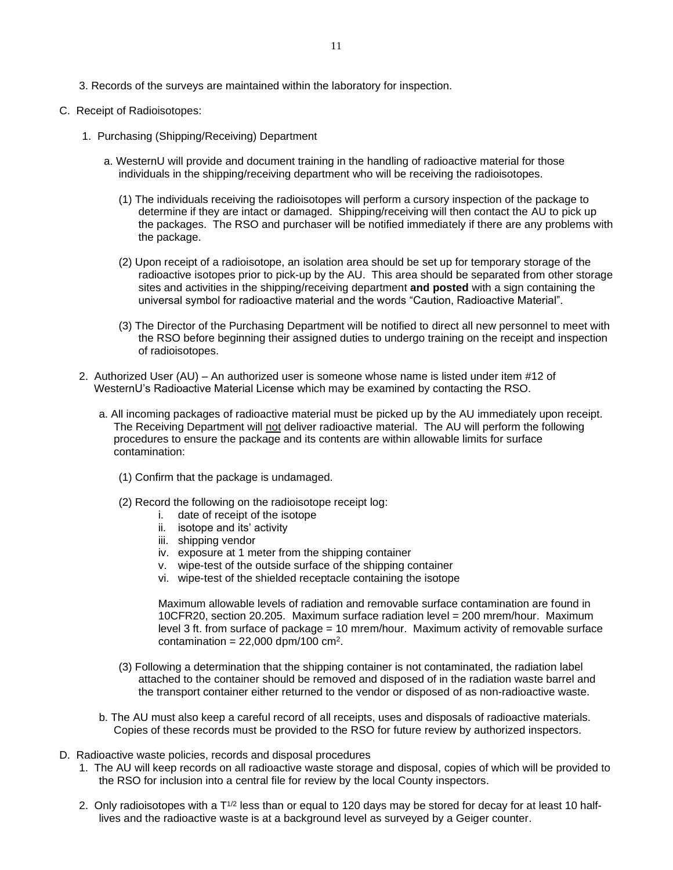3. Records of the surveys are maintained within the laboratory for inspection.

#### C. Receipt of Radioisotopes:

- 1. Purchasing (Shipping/Receiving) Department
	- a. WesternU will provide and document training in the handling of radioactive material for those individuals in the shipping/receiving department who will be receiving the radioisotopes.
		- (1) The individuals receiving the radioisotopes will perform a cursory inspection of the package to determine if they are intact or damaged. Shipping/receiving will then contact the AU to pick up the packages. The RSO and purchaser will be notified immediately if there are any problems with the package.
		- (2) Upon receipt of a radioisotope, an isolation area should be set up for temporary storage of the radioactive isotopes prior to pick-up by the AU. This area should be separated from other storage sites and activities in the shipping/receiving department **and posted** with a sign containing the universal symbol for radioactive material and the words "Caution, Radioactive Material".
		- (3) The Director of the Purchasing Department will be notified to direct all new personnel to meet with the RSO before beginning their assigned duties to undergo training on the receipt and inspection of radioisotopes.
- 2. Authorized User (AU) An authorized user is someone whose name is listed under item #12 of WesternU's Radioactive Material License which may be examined by contacting the RSO.
	- a. All incoming packages of radioactive material must be picked up by the AU immediately upon receipt. The Receiving Department will not deliver radioactive material. The AU will perform the following procedures to ensure the package and its contents are within allowable limits for surface contamination:
		- (1) Confirm that the package is undamaged.
		- (2) Record the following on the radioisotope receipt log:
			- i. date of receipt of the isotope
			- ii. isotope and its' activity
			- iii. shipping vendor
			- iv. exposure at 1 meter from the shipping container
			- v. wipe-test of the outside surface of the shipping container
			- vi. wipe-test of the shielded receptacle containing the isotope

Maximum allowable levels of radiation and removable surface contamination are found in 10CFR20, section 20.205. Maximum surface radiation level = 200 mrem/hour. Maximum level 3 ft. from surface of package = 10 mrem/hour. Maximum activity of removable surface contamination =  $22,000$  dpm/100 cm<sup>2</sup>.

- (3) Following a determination that the shipping container is not contaminated, the radiation label attached to the container should be removed and disposed of in the radiation waste barrel and the transport container either returned to the vendor or disposed of as non-radioactive waste.
- b. The AU must also keep a careful record of all receipts, uses and disposals of radioactive materials. Copies of these records must be provided to the RSO for future review by authorized inspectors.
- D. Radioactive waste policies, records and disposal procedures
	- 1. The AU will keep records on all radioactive waste storage and disposal, copies of which will be provided to the RSO for inclusion into a central file for review by the local County inspectors.
	- 2. Only radioisotopes with a  $T^{1/2}$  less than or equal to 120 days may be stored for decay for at least 10 halflives and the radioactive waste is at a background level as surveyed by a Geiger counter.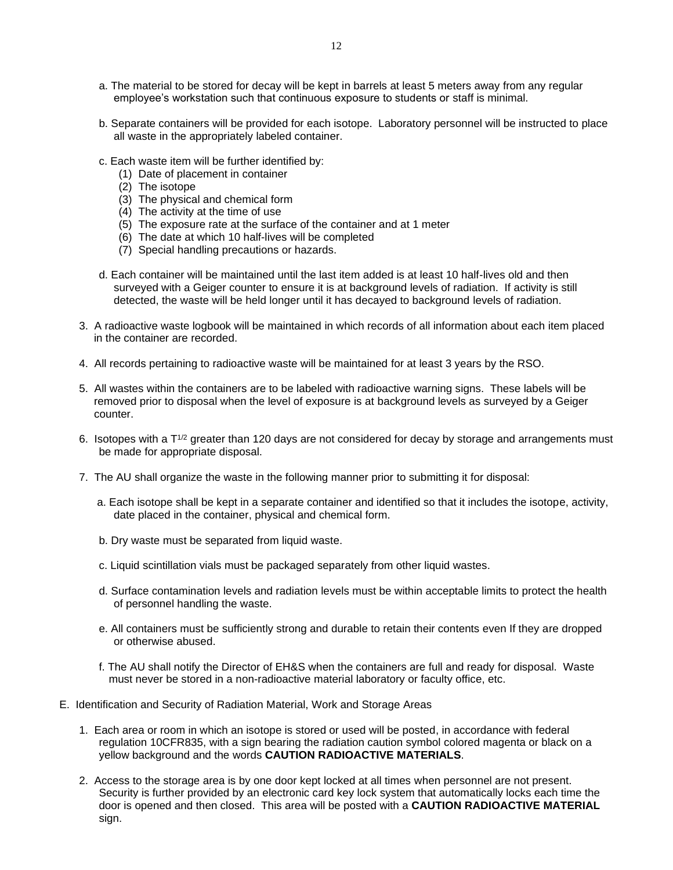- a. The material to be stored for decay will be kept in barrels at least 5 meters away from any regular employee's workstation such that continuous exposure to students or staff is minimal.
- b. Separate containers will be provided for each isotope. Laboratory personnel will be instructed to place all waste in the appropriately labeled container.
- c. Each waste item will be further identified by:
	- (1) Date of placement in container
	- (2) The isotope
	- (3) The physical and chemical form
	- (4) The activity at the time of use
	- (5) The exposure rate at the surface of the container and at 1 meter
	- (6) The date at which 10 half-lives will be completed
	- (7) Special handling precautions or hazards.
- d. Each container will be maintained until the last item added is at least 10 half-lives old and then surveyed with a Geiger counter to ensure it is at background levels of radiation. If activity is still detected, the waste will be held longer until it has decayed to background levels of radiation.
- 3. A radioactive waste logbook will be maintained in which records of all information about each item placed in the container are recorded.
- 4. All records pertaining to radioactive waste will be maintained for at least 3 years by the RSO.
- 5. All wastes within the containers are to be labeled with radioactive warning signs. These labels will be removed prior to disposal when the level of exposure is at background levels as surveyed by a Geiger counter.
- 6. Isotopes with a  $T^{1/2}$  greater than 120 days are not considered for decay by storage and arrangements must be made for appropriate disposal.
- 7. The AU shall organize the waste in the following manner prior to submitting it for disposal:
	- a. Each isotope shall be kept in a separate container and identified so that it includes the isotope, activity, date placed in the container, physical and chemical form.
	- b. Dry waste must be separated from liquid waste.
	- c. Liquid scintillation vials must be packaged separately from other liquid wastes.
	- d. Surface contamination levels and radiation levels must be within acceptable limits to protect the health of personnel handling the waste.
	- e. All containers must be sufficiently strong and durable to retain their contents even If they are dropped or otherwise abused.
	- f. The AU shall notify the Director of EH&S when the containers are full and ready for disposal. Waste must never be stored in a non-radioactive material laboratory or faculty office, etc.
- E. Identification and Security of Radiation Material, Work and Storage Areas
	- 1. Each area or room in which an isotope is stored or used will be posted, in accordance with federal regulation 10CFR835, with a sign bearing the radiation caution symbol colored magenta or black on a yellow background and the words **CAUTION RADIOACTIVE MATERIALS**.
	- 2. Access to the storage area is by one door kept locked at all times when personnel are not present. Security is further provided by an electronic card key lock system that automatically locks each time the door is opened and then closed. This area will be posted with a **CAUTION RADIOACTIVE MATERIAL** sign.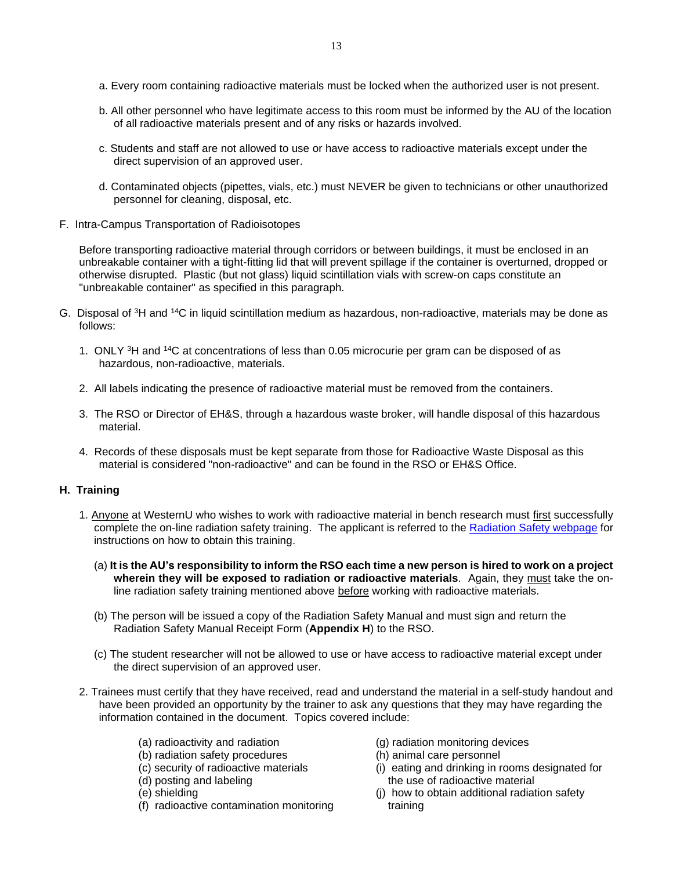- a. Every room containing radioactive materials must be locked when the authorized user is not present.
- b. All other personnel who have legitimate access to this room must be informed by the AU of the location of all radioactive materials present and of any risks or hazards involved.
- c. Students and staff are not allowed to use or have access to radioactive materials except under the direct supervision of an approved user.
- d. Contaminated objects (pipettes, vials, etc.) must NEVER be given to technicians or other unauthorized personnel for cleaning, disposal, etc.
- F. Intra-Campus Transportation of Radioisotopes

Before transporting radioactive material through corridors or between buildings, it must be enclosed in an unbreakable container with a tight-fitting lid that will prevent spillage if the container is overturned, dropped or otherwise disrupted. Plastic (but not glass) liquid scintillation vials with screw-on caps constitute an "unbreakable container" as specified in this paragraph.

- G. Disposal of <sup>3</sup>H and <sup>14</sup>C in liquid scintillation medium as hazardous, non-radioactive, materials may be done as follows:
	- 1. ONLY <sup>3</sup>H and <sup>14</sup>C at concentrations of less than 0.05 microcurie per gram can be disposed of as hazardous, non-radioactive, materials.
	- 2. All labels indicating the presence of radioactive material must be removed from the containers.
	- 3. The RSO or Director of EH&S, through a hazardous waste broker, will handle disposal of this hazardous material.
	- 4. Records of these disposals must be kept separate from those for Radioactive Waste Disposal as this material is considered "non-radioactive" and can be found in the RSO or EH&S Office.

#### **H. Training**

- 1. Anyone at WesternU who wishes to work with radioactive material in bench research must first successfully complete the on-line radiation safety training. The applicant is referred to the [Radiation Safety webpage](http://www.westernu.edu/research/regulatory-affairs/research-radiation-safety/) for instructions on how to obtain this training.
	- (a) **It is the AU's responsibility to inform the RSO each time a new person is hired to work on a project wherein they will be exposed to radiation or radioactive materials**. Again, they must take the online radiation safety training mentioned above before working with radioactive materials.
	- (b) The person will be issued a copy of the Radiation Safety Manual and must sign and return the Radiation Safety Manual Receipt Form (**Appendix H**) to the RSO.
	- (c) The student researcher will not be allowed to use or have access to radioactive material except under the direct supervision of an approved user.
- 2. Trainees must certify that they have received, read and understand the material in a self-study handout and have been provided an opportunity by the trainer to ask any questions that they may have regarding the information contained in the document. Topics covered include:
	- (a) radioactivity and radiation (g) radiation monitoring devices<br>(b) radiation safety procedures (h) animal care personnel
	-
	- (b) radiation safety procedures<br>(c) security of radioactive materials
	-
	-
	- (f) radioactive contamination monitoring training
- 
- - $(i)$  eating and drinking in rooms designated for (d) posting and labeling the use of radioactive material (e) shielding (e) shielding
		- $(i)$  how to obtain additional radiation safety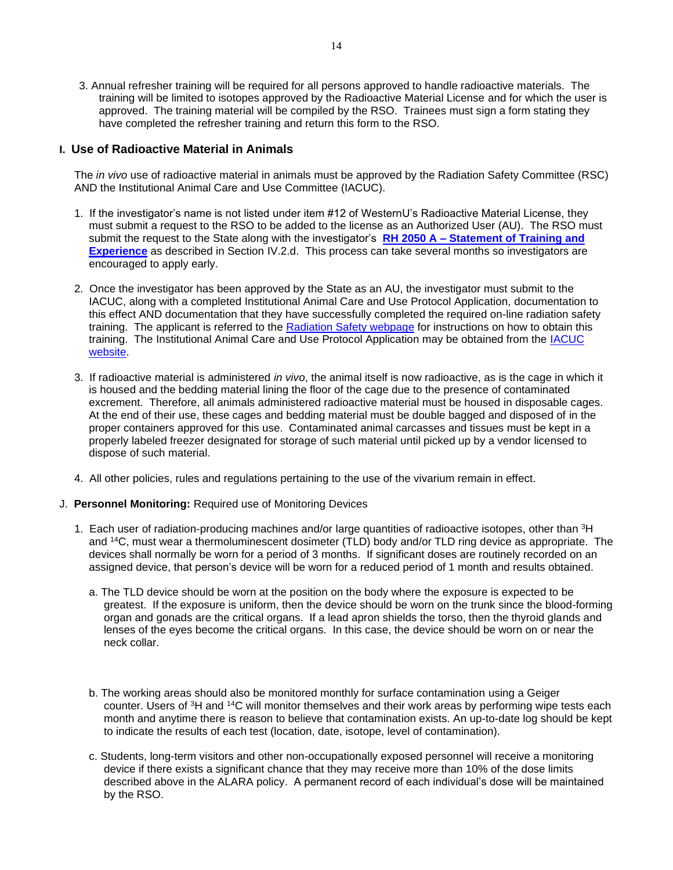3. Annual refresher training will be required for all persons approved to handle radioactive materials. The training will be limited to isotopes approved by the Radioactive Material License and for which the user is approved. The training material will be compiled by the RSO. Trainees must sign a form stating they have completed the refresher training and return this form to the RSO.

#### **I. Use of Radioactive Material in Animals**

The *in vivo* use of radioactive material in animals must be approved by the Radiation Safety Committee (RSC) AND the Institutional Animal Care and Use Committee (IACUC).

- 1. If the investigator's name is not listed under item #12 of WesternU's Radioactive Material License, they must submit a request to the RSO to be added to the license as an Authorized User (AU). The RSO must submit the request to the State along with the investigator's **RH 2050 A – [Statement of Training and](https://www.cdph.ca.gov/CDPH%20Document%20Library/ControlledForms/rh2050a.pdf)  [Experience](https://www.cdph.ca.gov/CDPH%20Document%20Library/ControlledForms/rh2050a.pdf)** as described in Section IV.2.d. This process can take several months so investigators are encouraged to apply early.
- 2. Once the investigator has been approved by the State as an AU, the investigator must submit to the IACUC, along with a completed Institutional Animal Care and Use Protocol Application, documentation to this effect AND documentation that they have successfully completed the required on-line radiation safety training. The applicant is referred to the [Radiation Safety webpage](http://www.westernu.edu/research/regulatory-affairs/research-radiation-safety/) for instructions on how to obtain this training. The Institutional Animal Care and Use Protocol Application may be obtained from the [IACUC](http://www.westernu.edu/research/regulatory-affairs/research-iacuc/)  [website.](http://www.westernu.edu/research/regulatory-affairs/research-iacuc/)
- 3. If radioactive material is administered *in vivo*, the animal itself is now radioactive, as is the cage in which it is housed and the bedding material lining the floor of the cage due to the presence of contaminated excrement. Therefore, all animals administered radioactive material must be housed in disposable cages. At the end of their use, these cages and bedding material must be double bagged and disposed of in the proper containers approved for this use. Contaminated animal carcasses and tissues must be kept in a properly labeled freezer designated for storage of such material until picked up by a vendor licensed to dispose of such material.
- 4. All other policies, rules and regulations pertaining to the use of the vivarium remain in effect.
- J. **Personnel Monitoring:** Required use of Monitoring Devices
	- 1. Each user of radiation-producing machines and/or large quantities of radioactive isotopes, other than <sup>3</sup>H and <sup>14</sup>C, must wear a thermoluminescent dosimeter (TLD) body and/or TLD ring device as appropriate. The devices shall normally be worn for a period of 3 months. If significant doses are routinely recorded on an assigned device, that person's device will be worn for a reduced period of 1 month and results obtained.
		- a. The TLD device should be worn at the position on the body where the exposure is expected to be greatest. If the exposure is uniform, then the device should be worn on the trunk since the blood-forming organ and gonads are the critical organs. If a lead apron shields the torso, then the thyroid glands and lenses of the eyes become the critical organs. In this case, the device should be worn on or near the neck collar.
		- b. The working areas should also be monitored monthly for surface contamination using a Geiger counter. Users of <sup>3</sup>H and <sup>14</sup>C will monitor themselves and their work areas by performing wipe tests each month and anytime there is reason to believe that contamination exists. An up-to-date log should be kept to indicate the results of each test (location, date, isotope, level of contamination).
		- c. Students, long-term visitors and other non-occupationally exposed personnel will receive a monitoring device if there exists a significant chance that they may receive more than 10% of the dose limits described above in the ALARA policy. A permanent record of each individual's dose will be maintained by the RSO.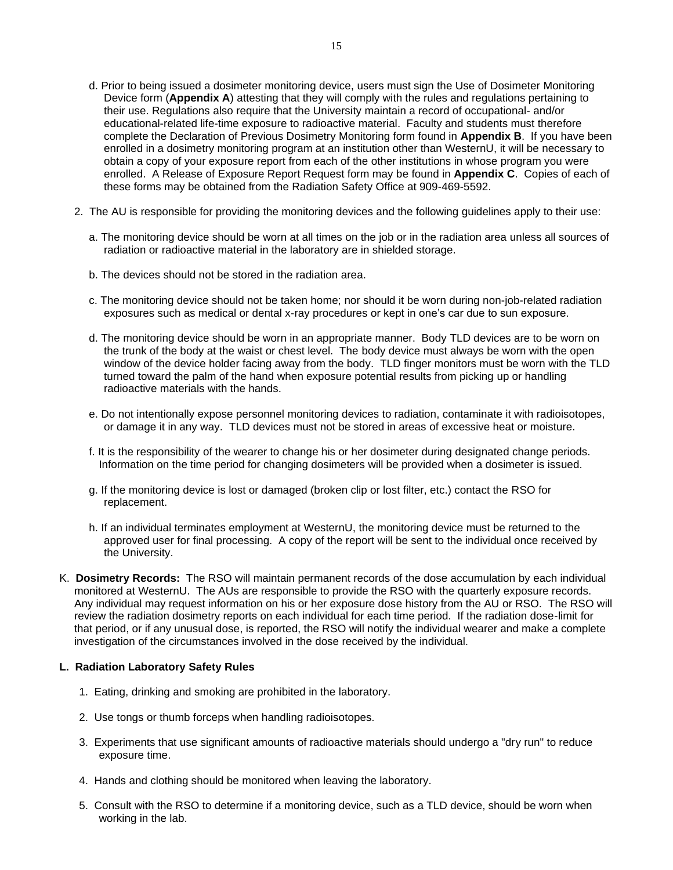- d. Prior to being issued a dosimeter monitoring device, users must sign the Use of Dosimeter Monitoring Device form (**Appendix A**) attesting that they will comply with the rules and regulations pertaining to their use. Regulations also require that the University maintain a record of occupational- and/or educational-related life-time exposure to radioactive material. Faculty and students must therefore complete the Declaration of Previous Dosimetry Monitoring form found in **Appendix B**. If you have been enrolled in a dosimetry monitoring program at an institution other than WesternU, it will be necessary to obtain a copy of your exposure report from each of the other institutions in whose program you were enrolled. A Release of Exposure Report Request form may be found in **Appendix C**. Copies of each of these forms may be obtained from the Radiation Safety Office at 909-469-5592.
- 2. The AU is responsible for providing the monitoring devices and the following guidelines apply to their use:
	- a. The monitoring device should be worn at all times on the job or in the radiation area unless all sources of radiation or radioactive material in the laboratory are in shielded storage.
	- b. The devices should not be stored in the radiation area.
	- c. The monitoring device should not be taken home; nor should it be worn during non-job-related radiation exposures such as medical or dental x-ray procedures or kept in one's car due to sun exposure.
	- d. The monitoring device should be worn in an appropriate manner. Body TLD devices are to be worn on the trunk of the body at the waist or chest level. The body device must always be worn with the open window of the device holder facing away from the body. TLD finger monitors must be worn with the TLD turned toward the palm of the hand when exposure potential results from picking up or handling radioactive materials with the hands.
	- e. Do not intentionally expose personnel monitoring devices to radiation, contaminate it with radioisotopes, or damage it in any way. TLD devices must not be stored in areas of excessive heat or moisture.
	- f. It is the responsibility of the wearer to change his or her dosimeter during designated change periods. Information on the time period for changing dosimeters will be provided when a dosimeter is issued.
	- g. If the monitoring device is lost or damaged (broken clip or lost filter, etc.) contact the RSO for replacement.
	- h. If an individual terminates employment at WesternU, the monitoring device must be returned to the approved user for final processing. A copy of the report will be sent to the individual once received by the University.
- K. **Dosimetry Records:** The RSO will maintain permanent records of the dose accumulation by each individual monitored at WesternU. The AUs are responsible to provide the RSO with the quarterly exposure records. Any individual may request information on his or her exposure dose history from the AU or RSO. The RSO will review the radiation dosimetry reports on each individual for each time period. If the radiation dose-limit for that period, or if any unusual dose, is reported, the RSO will notify the individual wearer and make a complete investigation of the circumstances involved in the dose received by the individual.

#### **L. Radiation Laboratory Safety Rules**

- 1. Eating, drinking and smoking are prohibited in the laboratory.
- 2. Use tongs or thumb forceps when handling radioisotopes.
- 3. Experiments that use significant amounts of radioactive materials should undergo a "dry run" to reduce exposure time.
- 4. Hands and clothing should be monitored when leaving the laboratory.
- 5. Consult with the RSO to determine if a monitoring device, such as a TLD device, should be worn when working in the lab.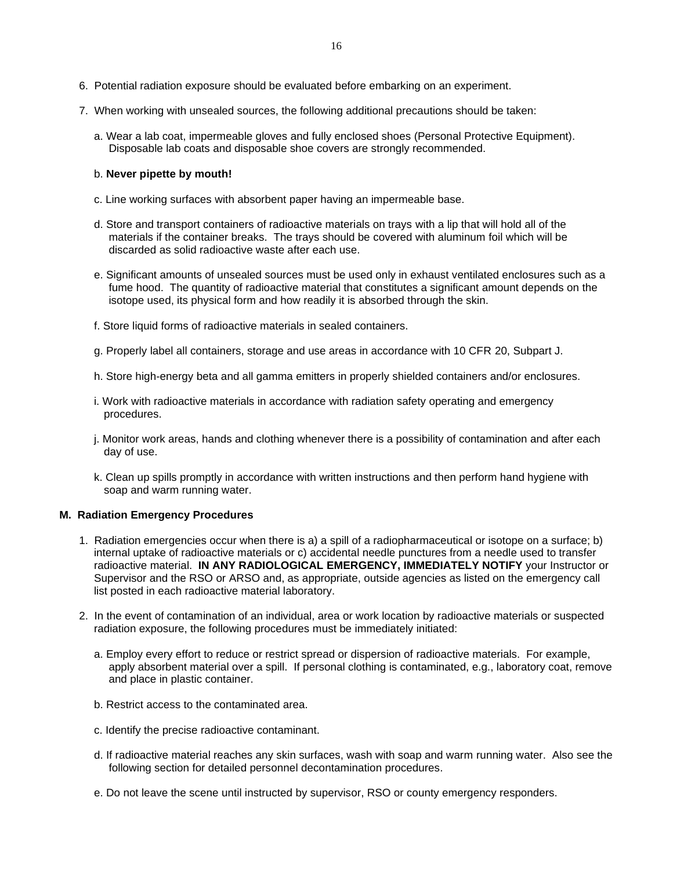- 7. When working with unsealed sources, the following additional precautions should be taken:
	- a. Wear a lab coat, impermeable gloves and fully enclosed shoes (Personal Protective Equipment). Disposable lab coats and disposable shoe covers are strongly recommended.

#### b. **Never pipette by mouth!**

- c. Line working surfaces with absorbent paper having an impermeable base.
- d. Store and transport containers of radioactive materials on trays with a lip that will hold all of the materials if the container breaks. The trays should be covered with aluminum foil which will be discarded as solid radioactive waste after each use.
- e. Significant amounts of unsealed sources must be used only in exhaust ventilated enclosures such as a fume hood. The quantity of radioactive material that constitutes a significant amount depends on the isotope used, its physical form and how readily it is absorbed through the skin.
- f. Store liquid forms of radioactive materials in sealed containers.
- g. Properly label all containers, storage and use areas in accordance with 10 CFR 20, Subpart J.
- h. Store high-energy beta and all gamma emitters in properly shielded containers and/or enclosures.
- i. Work with radioactive materials in accordance with radiation safety operating and emergency procedures.
- j. Monitor work areas, hands and clothing whenever there is a possibility of contamination and after each day of use.
- k. Clean up spills promptly in accordance with written instructions and then perform hand hygiene with soap and warm running water.

#### **M. Radiation Emergency Procedures**

- 1. Radiation emergencies occur when there is a) a spill of a radiopharmaceutical or isotope on a surface; b) internal uptake of radioactive materials or c) accidental needle punctures from a needle used to transfer radioactive material. **IN ANY RADIOLOGICAL EMERGENCY, IMMEDIATELY NOTIFY** your Instructor or Supervisor and the RSO or ARSO and, as appropriate, outside agencies as listed on the emergency call list posted in each radioactive material laboratory.
- 2. In the event of contamination of an individual, area or work location by radioactive materials or suspected radiation exposure, the following procedures must be immediately initiated:
	- a. Employ every effort to reduce or restrict spread or dispersion of radioactive materials. For example, apply absorbent material over a spill. If personal clothing is contaminated, e.g., laboratory coat, remove and place in plastic container.
	- b. Restrict access to the contaminated area.
	- c. Identify the precise radioactive contaminant.
	- d. If radioactive material reaches any skin surfaces, wash with soap and warm running water. Also see the following section for detailed personnel decontamination procedures.
	- e. Do not leave the scene until instructed by supervisor, RSO or county emergency responders.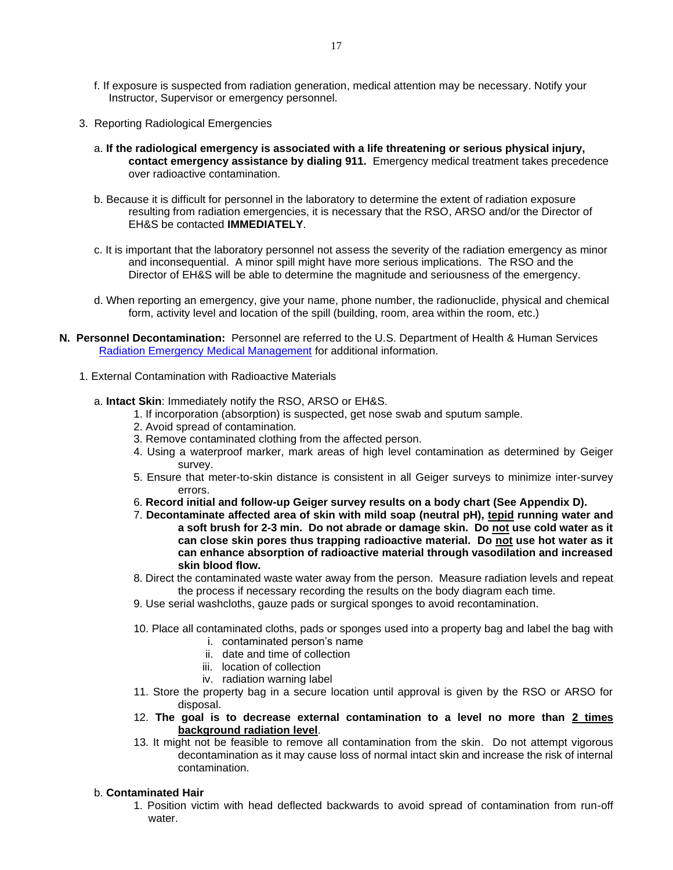- f. If exposure is suspected from radiation generation, medical attention may be necessary. Notify your Instructor, Supervisor or emergency personnel.
- 3. Reporting Radiological Emergencies
	- a. **If the radiological emergency is associated with a life threatening or serious physical injury, contact emergency assistance by dialing 911.** Emergency medical treatment takes precedence over radioactive contamination.
	- b. Because it is difficult for personnel in the laboratory to determine the extent of radiation exposure resulting from radiation emergencies, it is necessary that the RSO, ARSO and/or the Director of EH&S be contacted **IMMEDIATELY**.
	- c. It is important that the laboratory personnel not assess the severity of the radiation emergency as minor and inconsequential. A minor spill might have more serious implications. The RSO and the Director of EH&S will be able to determine the magnitude and seriousness of the emergency.
	- d. When reporting an emergency, give your name, phone number, the radionuclide, physical and chemical form, activity level and location of the spill (building, room, area within the room, etc.)
- **N. Personnel Decontamination:** Personnel are referred to the U.S. Department of Health & Human Services [Radiation Emergency Medical Management](http://www.remm.nlm.gov/ext_contamination.htm) for additional information.
	- 1. External Contamination with Radioactive Materials
		- a. **Intact Skin**: Immediately notify the RSO, ARSO or EH&S.
			- 1. If incorporation (absorption) is suspected, get nose swab and sputum sample.
			- 2. Avoid spread of contamination.
			- 3. Remove contaminated clothing from the affected person.
			- 4. Using a waterproof marker, mark areas of high level contamination as determined by Geiger survey.
			- 5. Ensure that meter-to-skin distance is consistent in all Geiger surveys to minimize inter-survey errors.
			- 6. **Record initial and follow-up Geiger survey results on a body chart (See Appendix D).**
			- 7. **Decontaminate affected area of skin with mild soap (neutral pH), tepid running water and a soft brush for 2-3 min. Do not abrade or damage skin. Do not use cold water as it can close skin pores thus trapping radioactive material. Do not use hot water as it can enhance absorption of radioactive material through vasodilation and increased skin blood flow.**
			- 8. Direct the contaminated waste water away from the person. Measure radiation levels and repeat the process if necessary recording the results on the body diagram each time.
			- 9. Use serial washcloths, gauze pads or surgical sponges to avoid recontamination.
			- 10. Place all contaminated cloths, pads or sponges used into a property bag and label the bag with
				- i. contaminated person's name
				- ii. date and time of collection
				- iii. location of collection
				- iv. radiation warning label
			- 11. Store the property bag in a secure location until approval is given by the RSO or ARSO for disposal.
			- 12. **The goal is to decrease external contamination to a level no more than 2 times background radiation level**.
			- 13. It might not be feasible to remove all contamination from the skin. Do not attempt vigorous decontamination as it may cause loss of normal intact skin and increase the risk of internal contamination.

#### b. **Contaminated Hair**

1. Position victim with head deflected backwards to avoid spread of contamination from run-off water.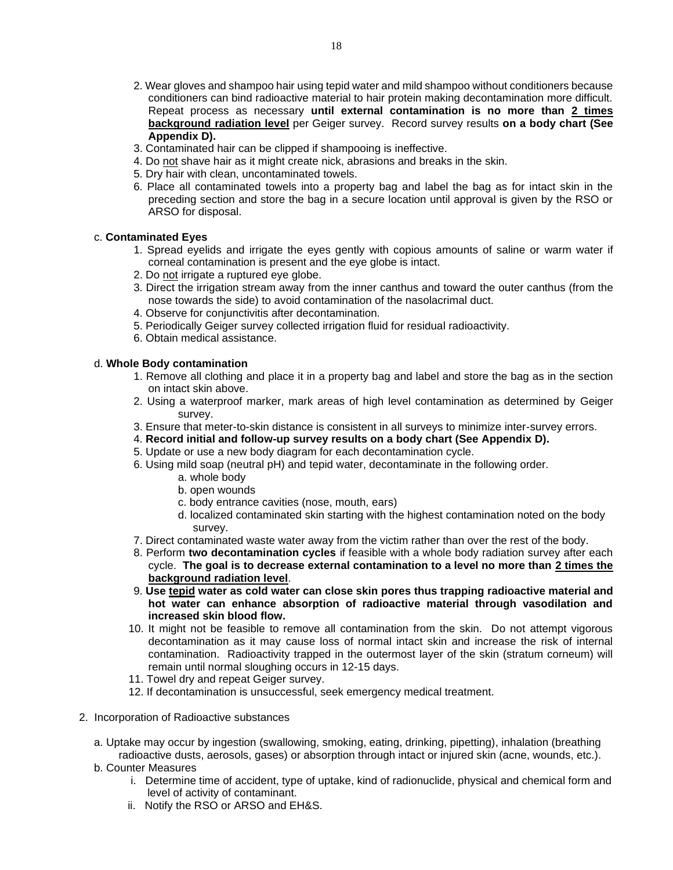- 2. Wear gloves and shampoo hair using tepid water and mild shampoo without conditioners because conditioners can bind radioactive material to hair protein making decontamination more difficult. Repeat process as necessary **until external contamination is no more than 2 times background radiation level** per Geiger survey. Record survey results **on a body chart (See Appendix D).**
- 3. Contaminated hair can be clipped if shampooing is ineffective.
- 4. Do not shave hair as it might create nick, abrasions and breaks in the skin.
- 5. Dry hair with clean, uncontaminated towels.
- 6. Place all contaminated towels into a property bag and label the bag as for intact skin in the preceding section and store the bag in a secure location until approval is given by the RSO or ARSO for disposal.

#### c. **Contaminated Eyes**

- 1. Spread eyelids and irrigate the eyes gently with copious amounts of saline or warm water if corneal contamination is present and the eye globe is intact.
- 2. Do not irrigate a ruptured eye globe.
- 3. Direct the irrigation stream away from the inner canthus and toward the outer canthus (from the nose towards the side) to avoid contamination of the nasolacrimal duct.
- 4. Observe for conjunctivitis after decontamination.
- 5. Periodically Geiger survey collected irrigation fluid for residual radioactivity.
- 6. Obtain medical assistance.

#### d. **Whole Body contamination**

- 1. Remove all clothing and place it in a property bag and label and store the bag as in the section on intact skin above.
- 2. Using a waterproof marker, mark areas of high level contamination as determined by Geiger survey.
- 3. Ensure that meter-to-skin distance is consistent in all surveys to minimize inter-survey errors.
- 4. **Record initial and follow-up survey results on a body chart (See Appendix D).**
- 5. Update or use a new body diagram for each decontamination cycle.
- 6. Using mild soap (neutral pH) and tepid water, decontaminate in the following order.
	- a. whole body
	- b. open wounds
	- c. body entrance cavities (nose, mouth, ears)
	- d. localized contaminated skin starting with the highest contamination noted on the body survey.
- 7. Direct contaminated waste water away from the victim rather than over the rest of the body.
- 8. Perform **two decontamination cycles** if feasible with a whole body radiation survey after each cycle. **The goal is to decrease external contamination to a level no more than 2 times the background radiation level**.
- 9. **Use tepid water as cold water can close skin pores thus trapping radioactive material and hot water can enhance absorption of radioactive material through vasodilation and increased skin blood flow.**
- 10. It might not be feasible to remove all contamination from the skin. Do not attempt vigorous decontamination as it may cause loss of normal intact skin and increase the risk of internal contamination. Radioactivity trapped in the outermost layer of the skin (stratum corneum) will remain until normal sloughing occurs in 12-15 days.
- 11. Towel dry and repeat Geiger survey.
- 12. If decontamination is unsuccessful, seek emergency medical treatment.
- 2. Incorporation of Radioactive substances
	- a. Uptake may occur by ingestion (swallowing, smoking, eating, drinking, pipetting), inhalation (breathing radioactive dusts, aerosols, gases) or absorption through intact or injured skin (acne, wounds, etc.).
	- b. Counter Measures
		- i. Determine time of accident, type of uptake, kind of radionuclide, physical and chemical form and level of activity of contaminant.
		- ii. Notify the RSO or ARSO and EH&S.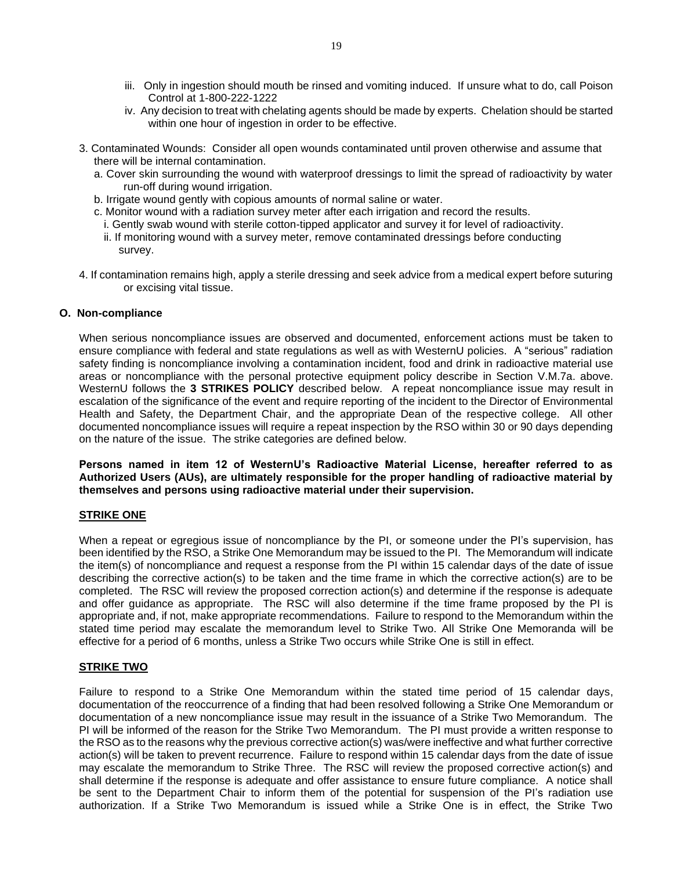- iii. Only in ingestion should mouth be rinsed and vomiting induced. If unsure what to do, call Poison Control at 1-800-222-1222
- iv. Any decision to treat with chelating agents should be made by experts. Chelation should be started within one hour of ingestion in order to be effective.
- 3. Contaminated Wounds: Consider all open wounds contaminated until proven otherwise and assume that there will be internal contamination.
	- a. Cover skin surrounding the wound with waterproof dressings to limit the spread of radioactivity by water run-off during wound irrigation.
	- b. Irrigate wound gently with copious amounts of normal saline or water.
	- c. Monitor wound with a radiation survey meter after each irrigation and record the results.
	- i. Gently swab wound with sterile cotton-tipped applicator and survey it for level of radioactivity.
	- ii. If monitoring wound with a survey meter, remove contaminated dressings before conducting survey.
- 4. If contamination remains high, apply a sterile dressing and seek advice from a medical expert before suturing or excising vital tissue.

#### **O. Non-compliance**

When serious noncompliance issues are observed and documented, enforcement actions must be taken to ensure compliance with federal and state regulations as well as with WesternU policies. A "serious" radiation safety finding is noncompliance involving a contamination incident, food and drink in radioactive material use areas or noncompliance with the personal protective equipment policy describe in Section V.M.7a. above. WesternU follows the **3 STRIKES POLICY** described below. A repeat noncompliance issue may result in escalation of the significance of the event and require reporting of the incident to the Director of Environmental Health and Safety, the Department Chair, and the appropriate Dean of the respective college. All other documented noncompliance issues will require a repeat inspection by the RSO within 30 or 90 days depending on the nature of the issue. The strike categories are defined below.

**Persons named in item 12 of WesternU's Radioactive Material License, hereafter referred to as Authorized Users (AUs), are ultimately responsible for the proper handling of radioactive material by themselves and persons using radioactive material under their supervision.**

#### **STRIKE ONE**

When a repeat or egregious issue of noncompliance by the PI, or someone under the PI's supervision, has been identified by the RSO, a Strike One Memorandum may be issued to the PI. The Memorandum will indicate the item(s) of noncompliance and request a response from the PI within 15 calendar days of the date of issue describing the corrective action(s) to be taken and the time frame in which the corrective action(s) are to be completed. The RSC will review the proposed correction action(s) and determine if the response is adequate and offer guidance as appropriate. The RSC will also determine if the time frame proposed by the PI is appropriate and, if not, make appropriate recommendations. Failure to respond to the Memorandum within the stated time period may escalate the memorandum level to Strike Two. All Strike One Memoranda will be effective for a period of 6 months, unless a Strike Two occurs while Strike One is still in effect.

#### **STRIKE TWO**

Failure to respond to a Strike One Memorandum within the stated time period of 15 calendar days, documentation of the reoccurrence of a finding that had been resolved following a Strike One Memorandum or documentation of a new noncompliance issue may result in the issuance of a Strike Two Memorandum. The PI will be informed of the reason for the Strike Two Memorandum. The PI must provide a written response to the RSO as to the reasons why the previous corrective action(s) was/were ineffective and what further corrective action(s) will be taken to prevent recurrence. Failure to respond within 15 calendar days from the date of issue may escalate the memorandum to Strike Three. The RSC will review the proposed corrective action(s) and shall determine if the response is adequate and offer assistance to ensure future compliance. A notice shall be sent to the Department Chair to inform them of the potential for suspension of the PI's radiation use authorization. If a Strike Two Memorandum is issued while a Strike One is in effect, the Strike Two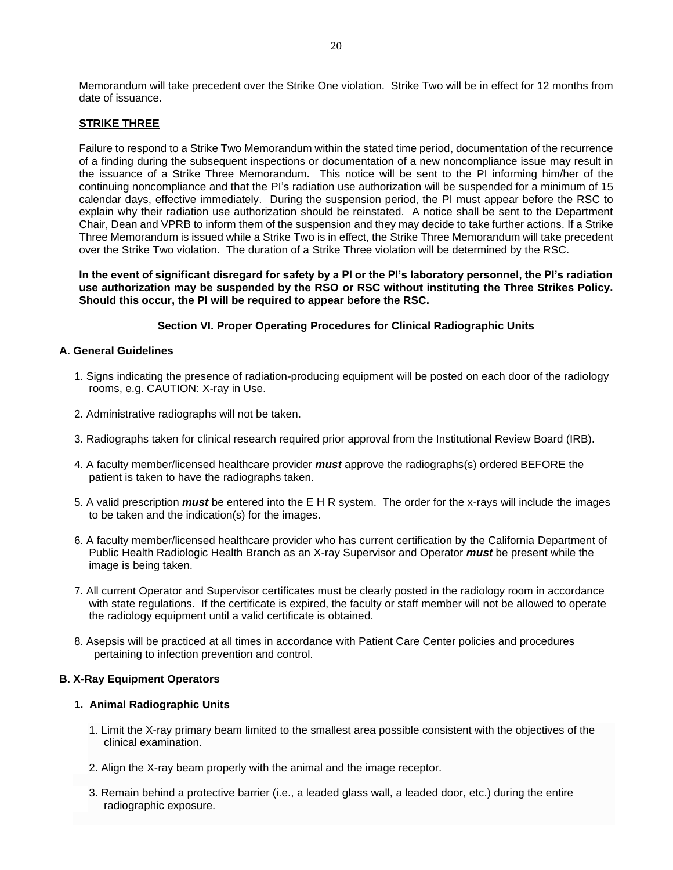Memorandum will take precedent over the Strike One violation. Strike Two will be in effect for 12 months from date of issuance.

#### **STRIKE THREE**

Failure to respond to a Strike Two Memorandum within the stated time period, documentation of the recurrence of a finding during the subsequent inspections or documentation of a new noncompliance issue may result in the issuance of a Strike Three Memorandum. This notice will be sent to the PI informing him/her of the continuing noncompliance and that the PI's radiation use authorization will be suspended for a minimum of 15 calendar days, effective immediately. During the suspension period, the PI must appear before the RSC to explain why their radiation use authorization should be reinstated. A notice shall be sent to the Department Chair, Dean and VPRB to inform them of the suspension and they may decide to take further actions. If a Strike Three Memorandum is issued while a Strike Two is in effect, the Strike Three Memorandum will take precedent over the Strike Two violation. The duration of a Strike Three violation will be determined by the RSC.

**In the event of significant disregard for safety by a PI or the PI's laboratory personnel, the PI's radiation use authorization may be suspended by the RSO or RSC without instituting the Three Strikes Policy. Should this occur, the PI will be required to appear before the RSC.**

#### **Section VI. Proper Operating Procedures for Clinical Radiographic Units**

#### **A. General Guidelines**

- 1. Signs indicating the presence of radiation-producing equipment will be posted on each door of the radiology rooms, e.g. CAUTION: X-ray in Use.
- 2. Administrative radiographs will not be taken.
- 3. Radiographs taken for clinical research required prior approval from the Institutional Review Board (IRB).
- 4. A faculty member/licensed healthcare provider *must* approve the radiographs(s) ordered BEFORE the patient is taken to have the radiographs taken.
- 5. A valid prescription *must* be entered into the E H R system. The order for the x-rays will include the images to be taken and the indication(s) for the images.
- 6. A faculty member/licensed healthcare provider who has current certification by the California Department of Public Health Radiologic Health Branch as an X-ray Supervisor and Operator *must* be present while the image is being taken.
- 7. All current Operator and Supervisor certificates must be clearly posted in the radiology room in accordance with state regulations. If the certificate is expired, the faculty or staff member will not be allowed to operate the radiology equipment until a valid certificate is obtained.
- 8. Asepsis will be practiced at all times in accordance with Patient Care Center policies and procedures pertaining to infection prevention and control.

#### **B. X-Ray Equipment Operators**

#### **1. Animal Radiographic Units**

- 1. Limit the X-ray primary beam limited to the smallest area possible consistent with the objectives of the clinical examination.
- 2. Align the X-ray beam properly with the animal and the image receptor.
- 3. Remain behind a protective barrier (i.e., a leaded glass wall, a leaded door, etc.) during the entire radiographic exposure.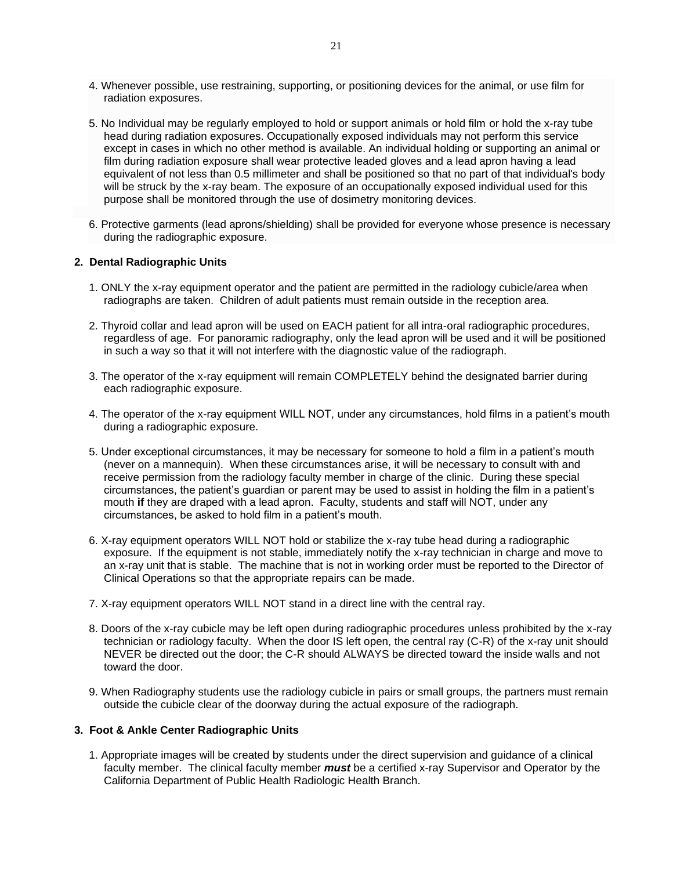- 4. Whenever possible, use restraining, supporting, or positioning devices for the animal, or use film for radiation exposures.
- 5. No Individual may be regularly employed to hold or support animals or hold film or hold the x-ray tube head during radiation exposures. Occupationally exposed individuals may not perform this service except in cases in which no other method is available. An individual holding or supporting an animal or film during radiation exposure shall wear protective leaded gloves and a lead apron having a lead equivalent of not less than 0.5 millimeter and shall be positioned so that no part of that individual's body will be struck by the x-ray beam. The exposure of an occupationally exposed individual used for this purpose shall be monitored through the use of dosimetry monitoring devices.
- 6. Protective garments (lead aprons/shielding) shall be provided for everyone whose presence is necessary during the radiographic exposure.

#### **2. Dental Radiographic Units**

- 1. ONLY the x-ray equipment operator and the patient are permitted in the radiology cubicle/area when radiographs are taken. Children of adult patients must remain outside in the reception area.
- 2. Thyroid collar and lead apron will be used on EACH patient for all intra-oral radiographic procedures, regardless of age. For panoramic radiography, only the lead apron will be used and it will be positioned in such a way so that it will not interfere with the diagnostic value of the radiograph.
- 3. The operator of the x-ray equipment will remain COMPLETELY behind the designated barrier during each radiographic exposure.
- 4. The operator of the x-ray equipment WILL NOT, under any circumstances, hold films in a patient's mouth during a radiographic exposure.
- 5. Under exceptional circumstances, it may be necessary for someone to hold a film in a patient's mouth (never on a mannequin). When these circumstances arise, it will be necessary to consult with and receive permission from the radiology faculty member in charge of the clinic. During these special circumstances, the patient's guardian or parent may be used to assist in holding the film in a patient's mouth **if** they are draped with a lead apron. Faculty, students and staff will NOT, under any circumstances, be asked to hold film in a patient's mouth.
- 6. X-ray equipment operators WILL NOT hold or stabilize the x-ray tube head during a radiographic exposure. If the equipment is not stable, immediately notify the x-ray technician in charge and move to an x-ray unit that is stable. The machine that is not in working order must be reported to the Director of Clinical Operations so that the appropriate repairs can be made.
- 7. X-ray equipment operators WILL NOT stand in a direct line with the central ray.
- 8. Doors of the x-ray cubicle may be left open during radiographic procedures unless prohibited by the x-ray technician or radiology faculty. When the door IS left open, the central ray (C-R) of the x-ray unit should NEVER be directed out the door; the C-R should ALWAYS be directed toward the inside walls and not toward the door.
- 9. When Radiography students use the radiology cubicle in pairs or small groups, the partners must remain outside the cubicle clear of the doorway during the actual exposure of the radiograph.

#### **3. Foot & Ankle Center Radiographic Units**

1. Appropriate images will be created by students under the direct supervision and guidance of a clinical faculty member. The clinical faculty member *must* be a certified x-ray Supervisor and Operator by the California Department of Public Health Radiologic Health Branch.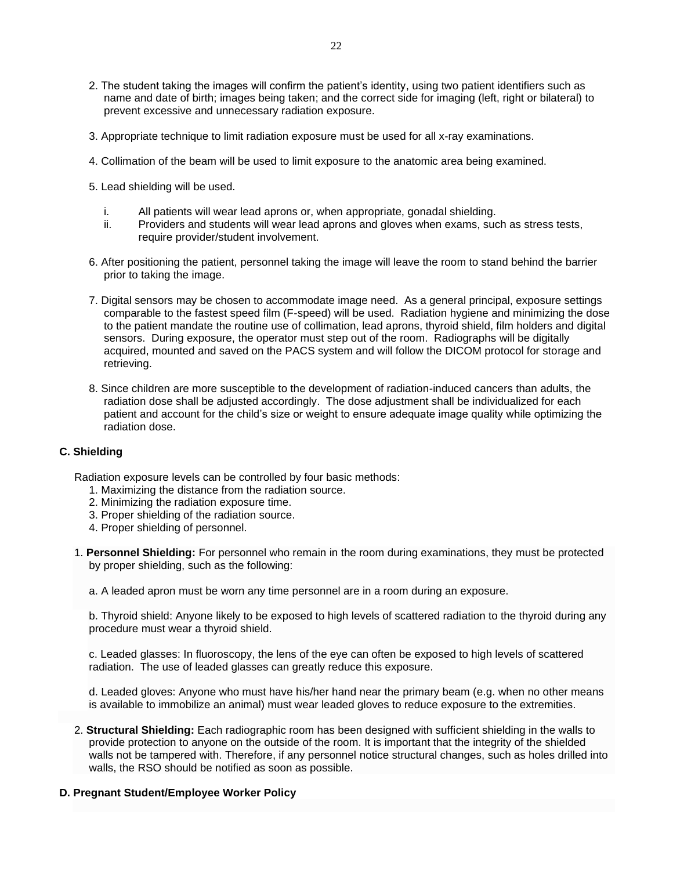- 2. The student taking the images will confirm the patient's identity, using two patient identifiers such as name and date of birth; images being taken; and the correct side for imaging (left, right or bilateral) to prevent excessive and unnecessary radiation exposure.
- 3. Appropriate technique to limit radiation exposure must be used for all x-ray examinations.
- 4. Collimation of the beam will be used to limit exposure to the anatomic area being examined.
- 5. Lead shielding will be used.
	- i. All patients will wear lead aprons or, when appropriate, gonadal shielding.
	- ii. Providers and students will wear lead aprons and gloves when exams, such as stress tests, require provider/student involvement.
- 6. After positioning the patient, personnel taking the image will leave the room to stand behind the barrier prior to taking the image.
- 7. Digital sensors may be chosen to accommodate image need. As a general principal, exposure settings comparable to the fastest speed film (F-speed) will be used. Radiation hygiene and minimizing the dose to the patient mandate the routine use of collimation, lead aprons, thyroid shield, film holders and digital sensors. During exposure, the operator must step out of the room. Radiographs will be digitally acquired, mounted and saved on the PACS system and will follow the DICOM protocol for storage and retrieving.
- 8. Since children are more susceptible to the development of radiation-induced cancers than adults, the radiation dose shall be adjusted accordingly. The dose adjustment shall be individualized for each patient and account for the child's size or weight to ensure adequate image quality while optimizing the radiation dose.

#### **C. Shielding**

Radiation exposure levels can be controlled by four basic methods:

- 1. Maximizing the distance from the radiation source.
- 2. Minimizing the radiation exposure time.
- 3. Proper shielding of the radiation source.
- 4. Proper shielding of personnel.
- 1. **Personnel Shielding:** For personnel who remain in the room during examinations, they must be protected by proper shielding, such as the following:
	- a. A leaded apron must be worn any time personnel are in a room during an exposure.

b. Thyroid shield: Anyone likely to be exposed to high levels of scattered radiation to the thyroid during any procedure must wear a thyroid shield.

c. Leaded glasses: In fluoroscopy, the lens of the eye can often be exposed to high levels of scattered radiation. The use of leaded glasses can greatly reduce this exposure.

d. Leaded gloves: Anyone who must have his/her hand near the primary beam (e.g. when no other means is available to immobilize an animal) must wear leaded gloves to reduce exposure to the extremities.

2. **Structural Shielding:** Each radiographic room has been designed with sufficient shielding in the walls to provide protection to anyone on the outside of the room. It is important that the integrity of the shielded walls not be tampered with. Therefore, if any personnel notice structural changes, such as holes drilled into walls, the RSO should be notified as soon as possible.

#### **D. Pregnant Student/Employee Worker Policy**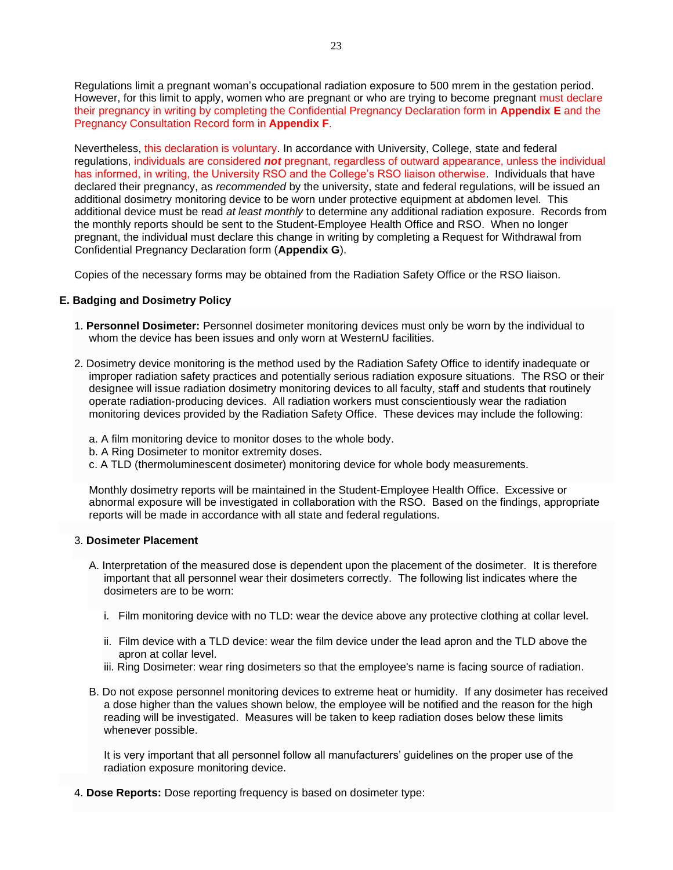Regulations limit a pregnant woman's occupational radiation exposure to 500 mrem in the gestation period. However, for this limit to apply, women who are pregnant or who are trying to become pregnant must declare their pregnancy in writing by completing the Confidential Pregnancy Declaration form in **Appendix E** and the Pregnancy Consultation Record form in **Appendix F**.

Nevertheless, this declaration is voluntary. In accordance with University, College, state and federal regulations, individuals are considered *not* pregnant, regardless of outward appearance, unless the individual has informed, in writing, the University RSO and the College's RSO liaison otherwise. Individuals that have declared their pregnancy, as *recommended* by the university, state and federal regulations, will be issued an additional dosimetry monitoring device to be worn under protective equipment at abdomen level. This additional device must be read *at least monthly* to determine any additional radiation exposure. Records from the monthly reports should be sent to the Student-Employee Health Office and RSO. When no longer pregnant, the individual must declare this change in writing by completing a Request for Withdrawal from Confidential Pregnancy Declaration form (**Appendix G**).

Copies of the necessary forms may be obtained from the Radiation Safety Office or the RSO liaison.

#### **E. Badging and Dosimetry Policy**

- 1. **Personnel Dosimeter:** Personnel dosimeter monitoring devices must only be worn by the individual to whom the device has been issues and only worn at WesternU facilities.
- 2. Dosimetry device monitoring is the method used by the Radiation Safety Office to identify inadequate or improper radiation safety practices and potentially serious radiation exposure situations. The RSO or their designee will issue radiation dosimetry monitoring devices to all faculty, staff and students that routinely operate radiation-producing devices. All radiation workers must conscientiously wear the radiation monitoring devices provided by the Radiation Safety Office. These devices may include the following:
	- a. A film monitoring device to monitor doses to the whole body.
	- b. A Ring Dosimeter to monitor extremity doses.
	- c. A TLD (thermoluminescent dosimeter) monitoring device for whole body measurements.

Monthly dosimetry reports will be maintained in the Student-Employee Health Office. Excessive or abnormal exposure will be investigated in collaboration with the RSO. Based on the findings, appropriate reports will be made in accordance with all state and federal regulations.

#### 3. **Dosimeter Placement**

- A. Interpretation of the measured dose is dependent upon the placement of the dosimeter. It is therefore important that all personnel wear their dosimeters correctly. The following list indicates where the dosimeters are to be worn:
	- i. Film monitoring device with no TLD: wear the device above any protective clothing at collar level.
	- ii. Film device with a TLD device: wear the film device under the lead apron and the TLD above the apron at collar level.
	- iii. Ring Dosimeter: wear ring dosimeters so that the employee's name is facing source of radiation.
- B. Do not expose personnel monitoring devices to extreme heat or humidity. If any dosimeter has received a dose higher than the values shown below, the employee will be notified and the reason for the high reading will be investigated. Measures will be taken to keep radiation doses below these limits whenever possible.

It is very important that all personnel follow all manufacturers' guidelines on the proper use of the radiation exposure monitoring device.

4. **Dose Reports:** Dose reporting frequency is based on dosimeter type: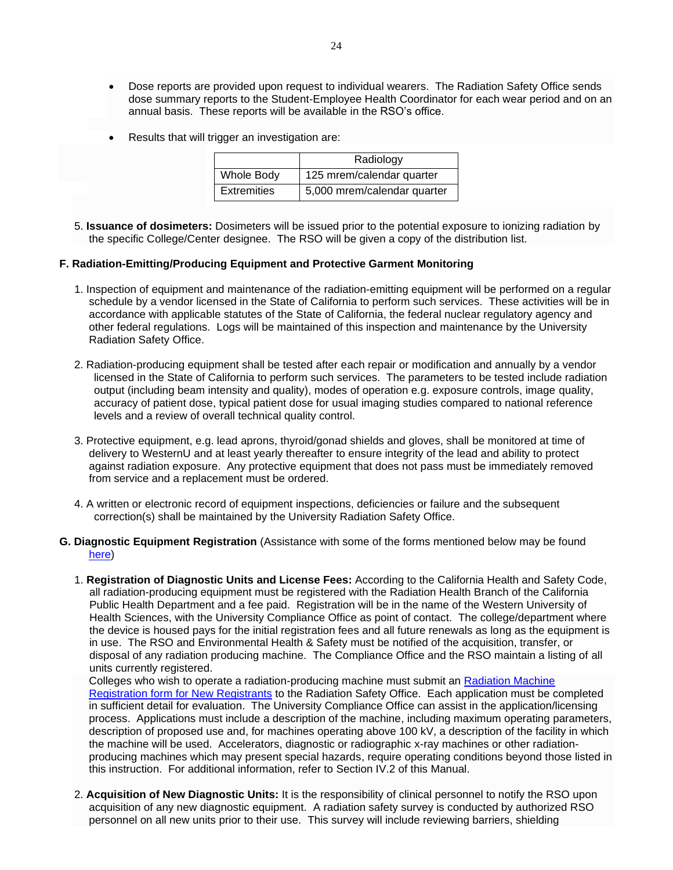- Dose reports are provided upon request to individual wearers. The Radiation Safety Office sends dose summary reports to the Student-Employee Health Coordinator for each wear period and on an annual basis. These reports will be available in the RSO's office.
- Results that will trigger an investigation are:

|                    | Radiology                   |
|--------------------|-----------------------------|
| Whole Body         | 125 mrem/calendar quarter   |
| <b>Extremities</b> | 5,000 mrem/calendar quarter |

5. **Issuance of dosimeters:** Dosimeters will be issued prior to the potential exposure to ionizing radiation by the specific College/Center designee. The RSO will be given a copy of the distribution list.

#### **F. Radiation-Emitting/Producing Equipment and Protective Garment Monitoring**

- 1. Inspection of equipment and maintenance of the radiation-emitting equipment will be performed on a regular schedule by a vendor licensed in the State of California to perform such services. These activities will be in accordance with applicable statutes of the State of California, the federal nuclear regulatory agency and other federal regulations. Logs will be maintained of this inspection and maintenance by the University Radiation Safety Office.
- 2. Radiation-producing equipment shall be tested after each repair or modification and annually by a vendor licensed in the State of California to perform such services. The parameters to be tested include radiation output (including beam intensity and quality), modes of operation e.g. exposure controls, image quality, accuracy of patient dose, typical patient dose for usual imaging studies compared to national reference levels and a review of overall technical quality control.
- 3. Protective equipment, e.g. lead aprons, thyroid/gonad shields and gloves, shall be monitored at time of delivery to WesternU and at least yearly thereafter to ensure integrity of the lead and ability to protect against radiation exposure. Any protective equipment that does not pass must be immediately removed from service and a replacement must be ordered.
- 4. A written or electronic record of equipment inspections, deficiencies or failure and the subsequent correction(s) shall be maintained by the University Radiation Safety Office.
- **G. Diagnostic Equipment Registration** (Assistance with some of the forms mentioned below may be found [here\)](https://www.cdph.ca.gov/Programs/CEH/DRSEM/Pages/RHB-X-ray/Registration.aspx)
	- 1. **Registration of Diagnostic Units and License Fees:** According to the California Health and Safety Code, all radiation-producing equipment must be registered with the Radiation Health Branch of the California Public Health Department and a fee paid. Registration will be in the name of the Western University of Health Sciences, with the University Compliance Office as point of contact. The college/department where the device is housed pays for the initial registration fees and all future renewals as long as the equipment is in use. The RSO and Environmental Health & Safety must be notified of the acquisition, transfer, or disposal of any radiation producing machine. The Compliance Office and the RSO maintain a listing of all units currently registered.

Colleges who wish to operate a radiation-producing machine must submit an [Radiation Machine](https://www.cdph.ca.gov/CDPH%20Document%20Library/ControlledForms/rh2261n.pdf)  [Registration form for New Registrants](https://www.cdph.ca.gov/CDPH%20Document%20Library/ControlledForms/rh2261n.pdf) to the Radiation Safety Office. Each application must be completed in sufficient detail for evaluation. The University Compliance Office can assist in the application/licensing process. Applications must include a description of the machine, including maximum operating parameters, description of proposed use and, for machines operating above 100 kV, a description of the facility in which the machine will be used. Accelerators, diagnostic or radiographic x-ray machines or other radiationproducing machines which may present special hazards, require operating conditions beyond those listed in this instruction. For additional information, refer to Section IV.2 of this Manual.

2. **Acquisition of New Diagnostic Units:** It is the responsibility of clinical personnel to notify the RSO upon acquisition of any new diagnostic equipment. A radiation safety survey is conducted by authorized RSO personnel on all new units prior to their use. This survey will include reviewing barriers, shielding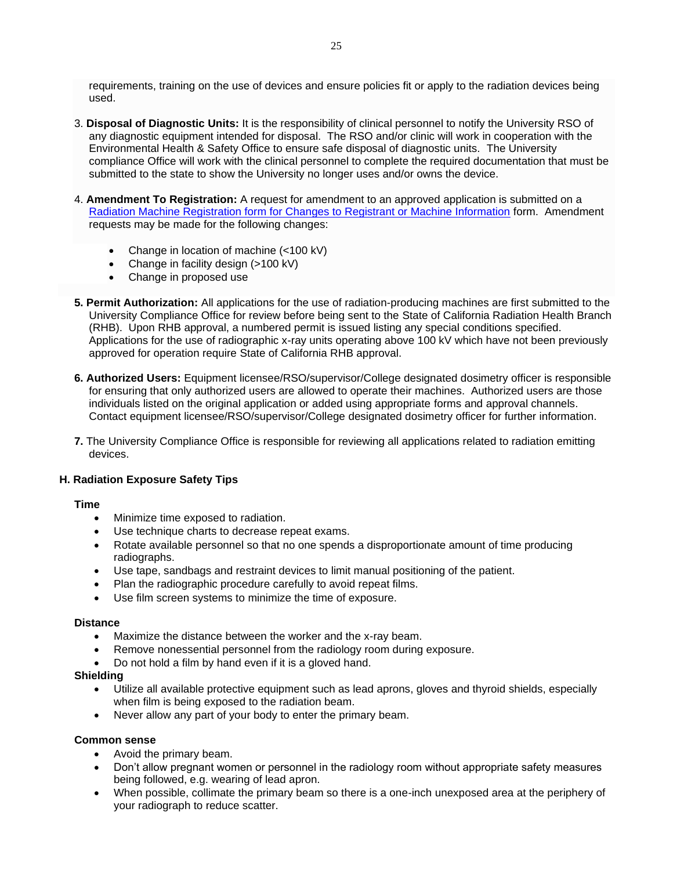requirements, training on the use of devices and ensure policies fit or apply to the radiation devices being used.

- 3. **Disposal of Diagnostic Units:** It is the responsibility of clinical personnel to notify the University RSO of any diagnostic equipment intended for disposal. The RSO and/or clinic will work in cooperation with the Environmental Health & Safety Office to ensure safe disposal of diagnostic units. The University compliance Office will work with the clinical personnel to complete the required documentation that must be submitted to the state to show the University no longer uses and/or owns the device.
- 4. **Amendment To Registration:** A request for amendment to an approved application is submitted on a [Radiation Machine Registration form for Changes to Registrant or Machine Information](https://www.cdph.ca.gov/CDPH%20Document%20Library/ControlledForms/rh2261c.pdf#:~:text=RADIATION%20MACHINE%20REGISTRATION%20FORM%20FOR%20CHANGES%20TO%20REGISTRANT,F%2C%20G%2C%20and%20H%20for%20all%20actions%2C%20and) form. Amendment requests may be made for the following changes:
	- Change in location of machine (<100 kV)
	- Change in facility design (>100 kV)
	- Change in proposed use
- **5. Permit Authorization:** All applications for the use of radiation-producing machines are first submitted to the University Compliance Office for review before being sent to the State of California Radiation Health Branch (RHB). Upon RHB approval, a numbered permit is issued listing any special conditions specified. Applications for the use of radiographic x-ray units operating above 100 kV which have not been previously approved for operation require State of California RHB approval.
- **6. Authorized Users:** Equipment licensee/RSO/supervisor/College designated dosimetry officer is responsible for ensuring that only authorized users are allowed to operate their machines. Authorized users are those individuals listed on the original application or added using appropriate forms and approval channels. Contact equipment licensee/RSO/supervisor/College designated dosimetry officer for further information.
- **7.** The University Compliance Office is responsible for reviewing all applications related to radiation emitting devices.

#### **H. Radiation Exposure Safety Tips**

#### **Time**

- Minimize time exposed to radiation.
- Use technique charts to decrease repeat exams.
- Rotate available personnel so that no one spends a disproportionate amount of time producing radiographs.
- Use tape, sandbags and restraint devices to limit manual positioning of the patient.
- Plan the radiographic procedure carefully to avoid repeat films.
- Use film screen systems to minimize the time of exposure.

#### **Distance**

- Maximize the distance between the worker and the x-ray beam.
- Remove nonessential personnel from the radiology room during exposure.
- Do not hold a film by hand even if it is a gloved hand.

#### **Shielding**

- Utilize all available protective equipment such as lead aprons, gloves and thyroid shields, especially when film is being exposed to the radiation beam.
- Never allow any part of your body to enter the primary beam.

#### **Common sense**

- Avoid the primary beam.
- Don't allow pregnant women or personnel in the radiology room without appropriate safety measures being followed, e.g. wearing of lead apron.
- When possible, collimate the primary beam so there is a one-inch unexposed area at the periphery of your radiograph to reduce scatter.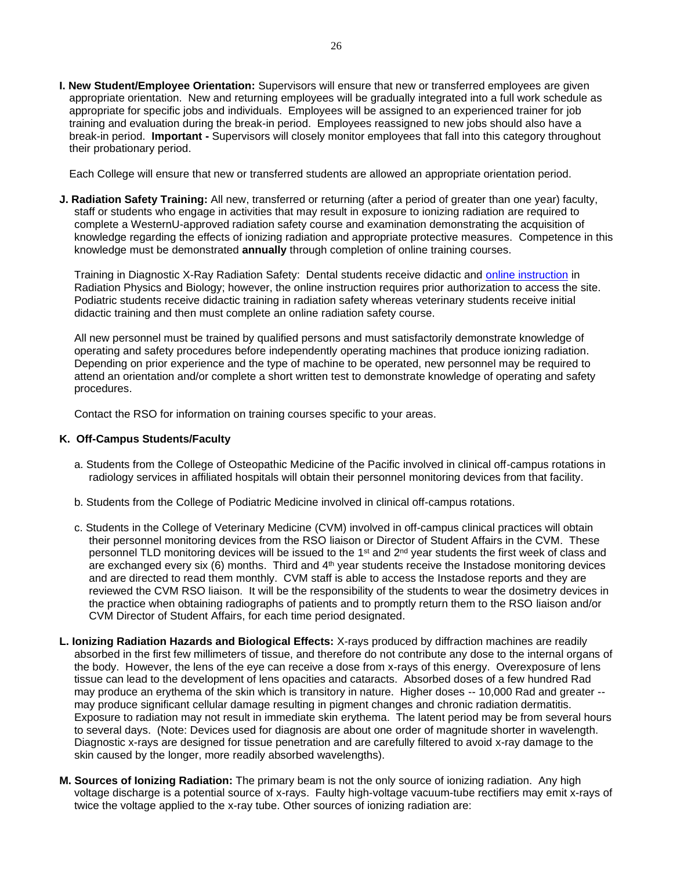**I. New Student/Employee Orientation:** Supervisors will ensure that new or transferred employees are given appropriate orientation. New and returning employees will be gradually integrated into a full work schedule as appropriate for specific jobs and individuals. Employees will be assigned to an experienced trainer for job training and evaluation during the break-in period. Employees reassigned to new jobs should also have a break-in period. **Important -** Supervisors will closely monitor employees that fall into this category throughout their probationary period.

Each College will ensure that new or transferred students are allowed an appropriate orientation period.

**J. Radiation Safety Training:** All new, transferred or returning (after a period of greater than one year) faculty, staff or students who engage in activities that may result in exposure to ionizing radiation are required to complete a WesternU-approved radiation safety course and examination demonstrating the acquisition of knowledge regarding the effects of ionizing radiation and appropriate protective measures. Competence in this knowledge must be demonstrated **annually** through completion of online training courses.

Training in Diagnostic X-Ray Radiation Safety: Dental students receive didactic and [online instruction](https://mydocs.westernu.edu/Students/CDM/D1/_layouts/15/WopiFrame.aspx?sourcedoc=/Students/CDM/D1/D1/Fall/ECD%20I/Course%20Documents/NOMAD%20Training/01.%20Nomad%20Operator%20Training.ppt&action=default) in Radiation Physics and Biology; however, the online instruction requires prior authorization to access the site. Podiatric students receive didactic training in radiation safety whereas veterinary students receive initial didactic training and then must complete an online radiation safety course.

All new personnel must be trained by qualified persons and must satisfactorily demonstrate knowledge of operating and safety procedures before independently operating machines that produce ionizing radiation. Depending on prior experience and the type of machine to be operated, new personnel may be required to attend an orientation and/or complete a short written test to demonstrate knowledge of operating and safety procedures.

Contact the RSO for information on training courses specific to your areas.

#### **K. Off-Campus Students/Faculty**

- a. Students from the College of Osteopathic Medicine of the Pacific involved in clinical off-campus rotations in radiology services in affiliated hospitals will obtain their personnel monitoring devices from that facility.
- b. Students from the College of Podiatric Medicine involved in clinical off-campus rotations.
- c. Students in the College of Veterinary Medicine (CVM) involved in off-campus clinical practices will obtain their personnel monitoring devices from the RSO liaison or Director of Student Affairs in the CVM. These personnel TLD monitoring devices will be issued to the 1<sup>st</sup> and 2<sup>nd</sup> year students the first week of class and are exchanged every six  $(6)$  months. Third and  $4<sup>th</sup>$  year students receive the Instadose monitoring devices and are directed to read them monthly. CVM staff is able to access the Instadose reports and they are reviewed the CVM RSO liaison. It will be the responsibility of the students to wear the dosimetry devices in the practice when obtaining radiographs of patients and to promptly return them to the RSO liaison and/or CVM Director of Student Affairs, for each time period designated.
- **L. Ionizing Radiation Hazards and Biological Effects:** X-rays produced by diffraction machines are readily absorbed in the first few millimeters of tissue, and therefore do not contribute any dose to the internal organs of the body. However, the lens of the eye can receive a dose from x-rays of this energy. Overexposure of lens tissue can lead to the development of lens opacities and cataracts. Absorbed doses of a few hundred Rad may produce an erythema of the skin which is transitory in nature. Higher doses -- 10,000 Rad and greater - may produce significant cellular damage resulting in pigment changes and chronic radiation dermatitis. Exposure to radiation may not result in immediate skin erythema. The latent period may be from several hours to several days. (Note: Devices used for diagnosis are about one order of magnitude shorter in wavelength. Diagnostic x-rays are designed for tissue penetration and are carefully filtered to avoid x-ray damage to the skin caused by the longer, more readily absorbed wavelengths).
- **M. Sources of Ionizing Radiation:** The primary beam is not the only source of ionizing radiation. Any high voltage discharge is a potential source of x-rays. Faulty high-voltage vacuum-tube rectifiers may emit x-rays of twice the voltage applied to the x-ray tube. Other sources of ionizing radiation are: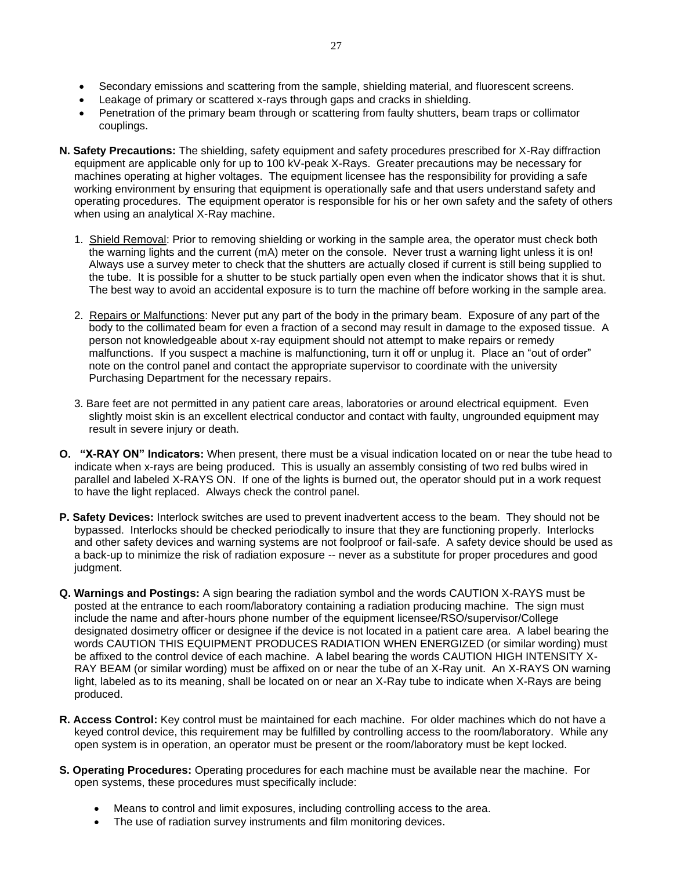- Secondary emissions and scattering from the sample, shielding material, and fluorescent screens.
- Leakage of primary or scattered x-rays through gaps and cracks in shielding.
- Penetration of the primary beam through or scattering from faulty shutters, beam traps or collimator couplings.
- **N. Safety Precautions:** The shielding, safety equipment and safety procedures prescribed for X-Ray diffraction equipment are applicable only for up to 100 kV-peak X-Rays. Greater precautions may be necessary for machines operating at higher voltages. The equipment licensee has the responsibility for providing a safe working environment by ensuring that equipment is operationally safe and that users understand safety and operating procedures. The equipment operator is responsible for his or her own safety and the safety of others when using an analytical X-Ray machine.
	- 1. Shield Removal: Prior to removing shielding or working in the sample area, the operator must check both the warning lights and the current (mA) meter on the console. Never trust a warning light unless it is on! Always use a survey meter to check that the shutters are actually closed if current is still being supplied to the tube. It is possible for a shutter to be stuck partially open even when the indicator shows that it is shut. The best way to avoid an accidental exposure is to turn the machine off before working in the sample area.
	- 2. Repairs or Malfunctions: Never put any part of the body in the primary beam. Exposure of any part of the body to the collimated beam for even a fraction of a second may result in damage to the exposed tissue. A person not knowledgeable about x-ray equipment should not attempt to make repairs or remedy malfunctions. If you suspect a machine is malfunctioning, turn it off or unplug it. Place an "out of order" note on the control panel and contact the appropriate supervisor to coordinate with the university Purchasing Department for the necessary repairs.
	- 3. Bare feet are not permitted in any patient care areas, laboratories or around electrical equipment. Even slightly moist skin is an excellent electrical conductor and contact with faulty, ungrounded equipment may result in severe injury or death.
- **O. "X-RAY ON" Indicators:** When present, there must be a visual indication located on or near the tube head to indicate when x-rays are being produced. This is usually an assembly consisting of two red bulbs wired in parallel and labeled X-RAYS ON. If one of the lights is burned out, the operator should put in a work request to have the light replaced. Always check the control panel.
- **P. Safety Devices:** Interlock switches are used to prevent inadvertent access to the beam. They should not be bypassed. Interlocks should be checked periodically to insure that they are functioning properly. Interlocks and other safety devices and warning systems are not foolproof or fail-safe. A safety device should be used as a back-up to minimize the risk of radiation exposure -- never as a substitute for proper procedures and good judgment.
- **Q. Warnings and Postings:** A sign bearing the radiation symbol and the words CAUTION X-RAYS must be posted at the entrance to each room/laboratory containing a radiation producing machine. The sign must include the name and after-hours phone number of the equipment licensee/RSO/supervisor/College designated dosimetry officer or designee if the device is not located in a patient care area. A label bearing the words CAUTION THIS EQUIPMENT PRODUCES RADIATION WHEN ENERGIZED (or similar wording) must be affixed to the control device of each machine. A label bearing the words CAUTION HIGH INTENSITY X-RAY BEAM (or similar wording) must be affixed on or near the tube of an X-Ray unit. An X-RAYS ON warning light, labeled as to its meaning, shall be located on or near an X-Ray tube to indicate when X-Rays are being produced.
- **R. Access Control:** Key control must be maintained for each machine. For older machines which do not have a keyed control device, this requirement may be fulfilled by controlling access to the room/laboratory. While any open system is in operation, an operator must be present or the room/laboratory must be kept locked.
- **S. Operating Procedures:** Operating procedures for each machine must be available near the machine. For open systems, these procedures must specifically include:
	- Means to control and limit exposures, including controlling access to the area.
	- The use of radiation survey instruments and film monitoring devices.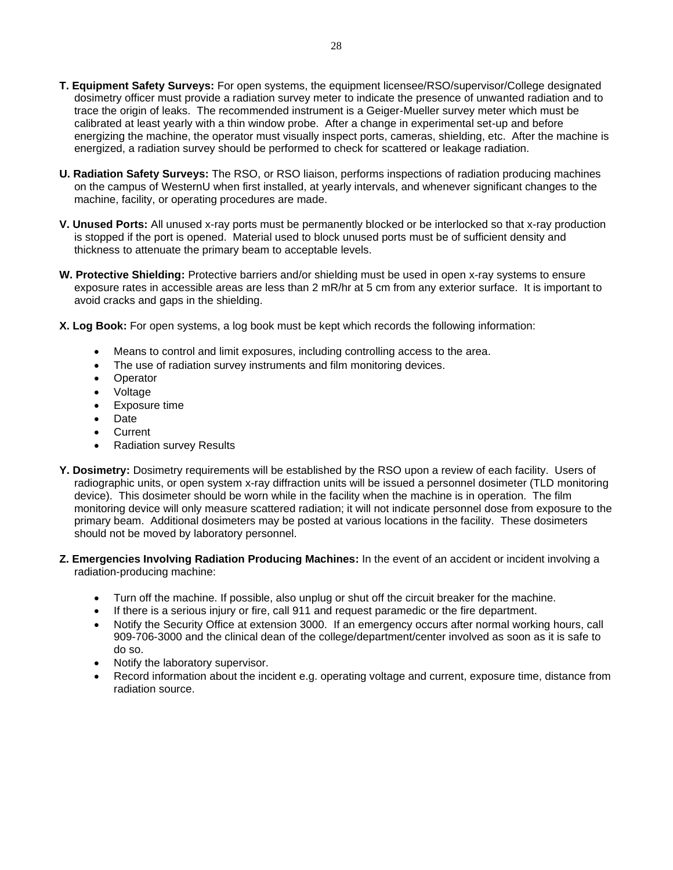- **T. Equipment Safety Surveys:** For open systems, the equipment licensee/RSO/supervisor/College designated dosimetry officer must provide a radiation survey meter to indicate the presence of unwanted radiation and to trace the origin of leaks. The recommended instrument is a Geiger-Mueller survey meter which must be calibrated at least yearly with a thin window probe. After a change in experimental set-up and before energizing the machine, the operator must visually inspect ports, cameras, shielding, etc. After the machine is energized, a radiation survey should be performed to check for scattered or leakage radiation.
- **U. Radiation Safety Surveys:** The RSO, or RSO liaison, performs inspections of radiation producing machines on the campus of WesternU when first installed, at yearly intervals, and whenever significant changes to the machine, facility, or operating procedures are made.
- **V. Unused Ports:** All unused x-ray ports must be permanently blocked or be interlocked so that x-ray production is stopped if the port is opened. Material used to block unused ports must be of sufficient density and thickness to attenuate the primary beam to acceptable levels.
- **W. Protective Shielding:** Protective barriers and/or shielding must be used in open x-ray systems to ensure exposure rates in accessible areas are less than 2 mR/hr at 5 cm from any exterior surface. It is important to avoid cracks and gaps in the shielding.
- **X. Log Book:** For open systems, a log book must be kept which records the following information:
	- Means to control and limit exposures, including controlling access to the area.
	- The use of radiation survey instruments and film monitoring devices.
	- Operator
	- Voltage
	- Exposure time
	- Date
	- **Current**
	- Radiation survey Results
- **Y. Dosimetry:** Dosimetry requirements will be established by the RSO upon a review of each facility. Users of radiographic units, or open system x-ray diffraction units will be issued a personnel dosimeter (TLD monitoring device). This dosimeter should be worn while in the facility when the machine is in operation. The film monitoring device will only measure scattered radiation; it will not indicate personnel dose from exposure to the primary beam. Additional dosimeters may be posted at various locations in the facility. These dosimeters should not be moved by laboratory personnel.
- **Z. Emergencies Involving Radiation Producing Machines:** In the event of an accident or incident involving a radiation-producing machine:
	- Turn off the machine. If possible, also unplug or shut off the circuit breaker for the machine.
	- If there is a serious injury or fire, call 911 and request paramedic or the fire department.
	- Notify the Security Office at extension 3000. If an emergency occurs after normal working hours, call 909-706-3000 and the clinical dean of the college/department/center involved as soon as it is safe to do so.
	- Notify the laboratory supervisor.
	- Record information about the incident e.g. operating voltage and current, exposure time, distance from radiation source.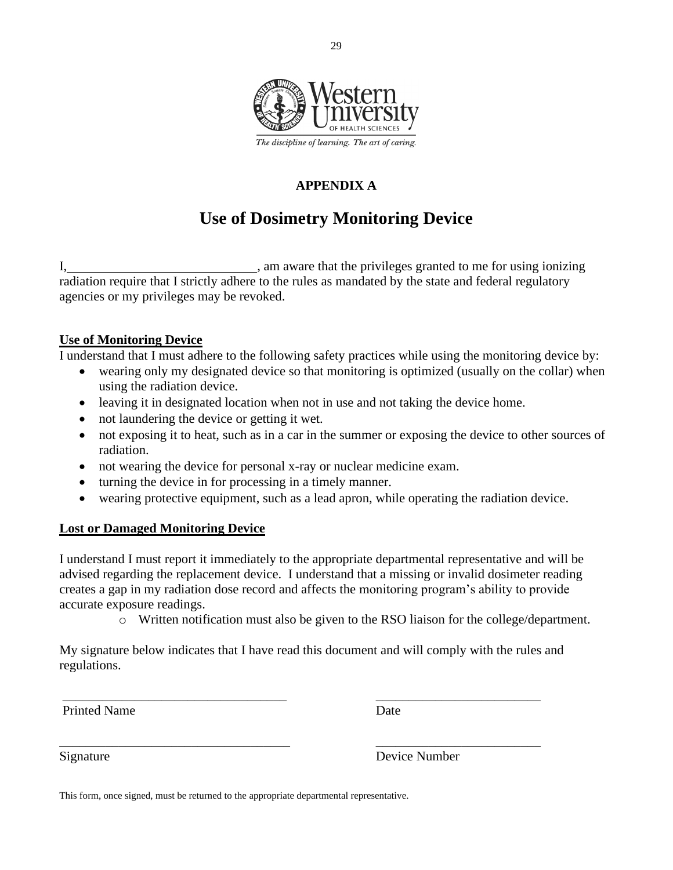

## **APPENDIX A**

## **Use of Dosimetry Monitoring Device**

I, am aware that the privileges granted to me for using ionizing radiation require that I strictly adhere to the rules as mandated by the state and federal regulatory agencies or my privileges may be revoked.

### **Use of Monitoring Device**

I understand that I must adhere to the following safety practices while using the monitoring device by:

- wearing only my designated device so that monitoring is optimized (usually on the collar) when using the radiation device.
- leaving it in designated location when not in use and not taking the device home.
- not laundering the device or getting it wet.
- not exposing it to heat, such as in a car in the summer or exposing the device to other sources of radiation.
- not wearing the device for personal x-ray or nuclear medicine exam.
- turning the device in for processing in a timely manner.
- wearing protective equipment, such as a lead apron, while operating the radiation device.

### **Lost or Damaged Monitoring Device**

I understand I must report it immediately to the appropriate departmental representative and will be advised regarding the replacement device. I understand that a missing or invalid dosimeter reading creates a gap in my radiation dose record and affects the monitoring program's ability to provide accurate exposure readings.

o Written notification must also be given to the RSO liaison for the college/department.

My signature below indicates that I have read this document and will comply with the rules and regulations.

\_\_\_\_\_\_\_\_\_\_\_\_\_\_\_\_\_\_\_\_\_\_\_\_\_\_\_\_\_\_\_\_\_\_ \_\_\_\_\_\_\_\_\_\_\_\_\_\_\_\_\_\_\_\_\_\_\_\_\_

\_\_\_\_\_\_\_\_\_\_\_\_\_\_\_\_\_\_\_\_\_\_\_\_\_\_\_\_\_\_\_\_\_\_\_ \_\_\_\_\_\_\_\_\_\_\_\_\_\_\_\_\_\_\_\_\_\_\_\_\_

Printed Name Date

Signature Device Number

This form, once signed, must be returned to the appropriate departmental representative.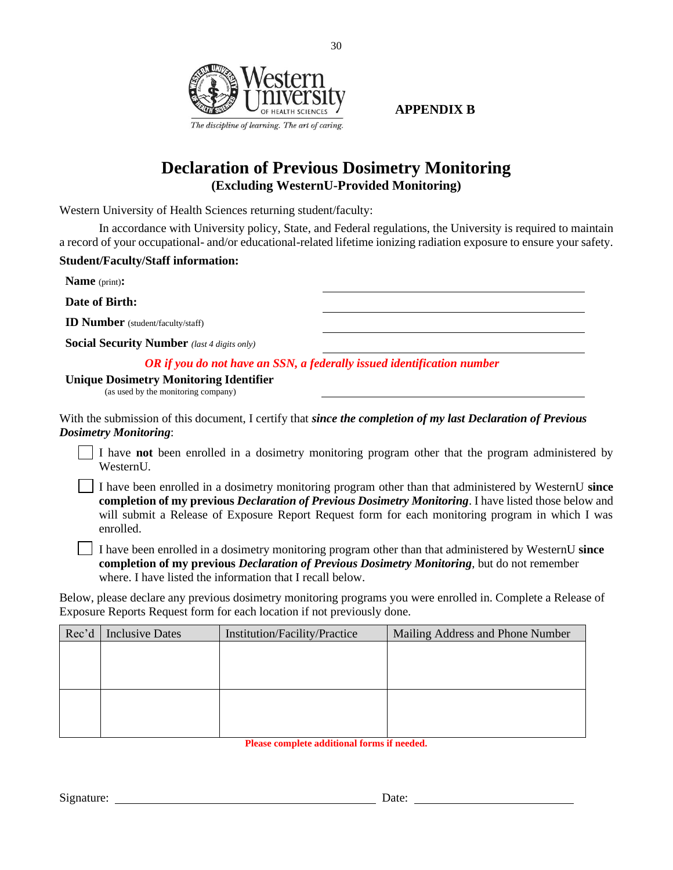

**APPENDIX B**

## **Declaration of Previous Dosimetry Monitoring (Excluding WesternU-Provided Monitoring)**

30

Western University of Health Sciences returning student/faculty:

In accordance with University policy, State, and Federal regulations, the University is required to maintain a record of your occupational- and/or educational-related lifetime ionizing radiation exposure to ensure your safety.

#### **Student/Faculty/Staff information:**

**Name** (print)**:**

**Date of Birth:**

**ID Number** (student/faculty/staff)

**Social Security Number** *(last 4 digits only)*

*OR if you do not have an SSN, a federally issued identification number*

#### **Unique Dosimetry Monitoring Identifier**

(as used by the monitoring company)

With the submission of this document, I certify that *since the completion of my last Declaration of Previous Dosimetry Monitoring*:

I have **not** been enrolled in a dosimetry monitoring program other that the program administered by WesternU.

I have been enrolled in a dosimetry monitoring program other than that administered by WesternU **since completion of my previous** *Declaration of Previous Dosimetry Monitoring*. I have listed those below and will submit a Release of Exposure Report Request form for each monitoring program in which I was enrolled.

I have been enrolled in a dosimetry monitoring program other than that administered by WesternU **since completion of my previous** *Declaration of Previous Dosimetry Monitoring*, but do not remember where. I have listed the information that I recall below.

Below, please declare any previous dosimetry monitoring programs you were enrolled in. Complete a Release of Exposure Reports Request form for each location if not previously done.

| Rec'd | <b>Inclusive Dates</b> | Institution/Facility/Practice | Mailing Address and Phone Number |
|-------|------------------------|-------------------------------|----------------------------------|
|       |                        |                               |                                  |
|       |                        |                               |                                  |
|       |                        |                               |                                  |
|       |                        |                               |                                  |
|       |                        |                               |                                  |
|       |                        |                               |                                  |

**Please complete additional forms if needed.**

Signature: Date: Date: Date: Date: Date: Date: Date: Date: Date: Date: Date: Date: Date: Date: Date: Date: Date: Date: Date: Date: Date: Date: Date: Date: Date: Date: Date: Date: Date: Date: Date: Date: Date: Date: Date: D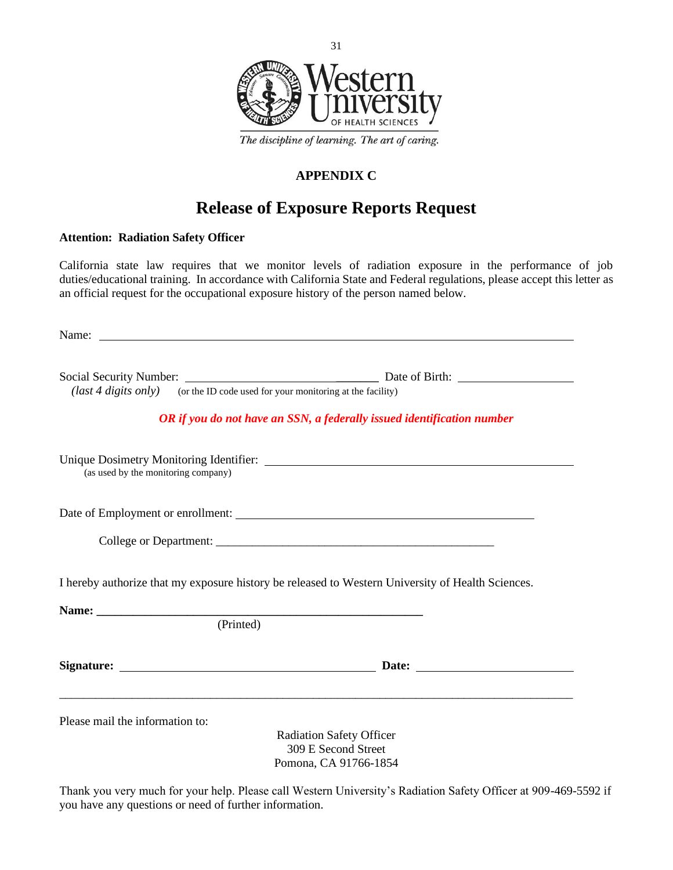

### **APPENDIX C**

## **Release of Exposure Reports Request**

#### **Attention: Radiation Safety Officer**

California state law requires that we monitor levels of radiation exposure in the performance of job duties/educational training. In accordance with California State and Federal regulations, please accept this letter as an official request for the occupational exposure history of the person named below.

|                                     | ( <i>last 4 digits only</i> ) (or the ID code used for your monitoring at the facility)                        |
|-------------------------------------|----------------------------------------------------------------------------------------------------------------|
|                                     | OR if you do not have an SSN, a federally issued identification number                                         |
| (as used by the monitoring company) |                                                                                                                |
|                                     | Date of Employment or enrollment:                                                                              |
|                                     |                                                                                                                |
|                                     |                                                                                                                |
|                                     | I hereby authorize that my exposure history be released to Western University of Health Sciences.<br>(Printed) |
|                                     |                                                                                                                |

Thank you very much for your help. Please call Western University's Radiation Safety Officer at 909-469-5592 if you have any questions or need of further information.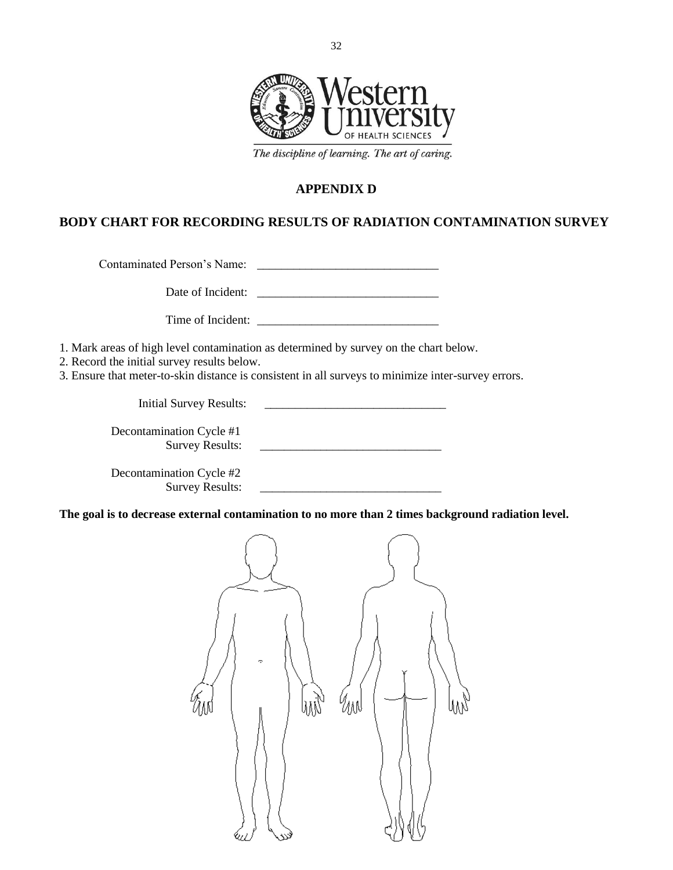

The discipline of learning. The art of caring.

### **APPENDIX D**

### **BODY CHART FOR RECORDING RESULTS OF RADIATION CONTAMINATION SURVEY**

Contaminated Person's Name: \_\_\_\_\_\_\_\_\_\_\_\_\_\_\_\_\_\_\_\_\_\_\_\_\_\_\_\_\_\_

Date of Incident: \_\_\_\_\_\_\_\_\_\_\_\_\_\_\_\_\_\_\_\_\_\_\_\_\_\_\_\_\_\_

Time of Incident: \_\_\_\_\_\_\_\_\_\_\_\_\_\_\_\_\_\_\_\_\_\_\_\_\_\_\_\_\_\_

1. Mark areas of high level contamination as determined by survey on the chart below.

2. Record the initial survey results below.

3. Ensure that meter-to-skin distance is consistent in all surveys to minimize inter-survey errors.

Initial Survey Results: \_\_\_\_\_\_\_\_\_\_\_\_\_\_\_\_\_\_\_\_\_\_\_\_\_\_\_\_\_\_ Decontamination Cycle #1 Survey Results: \_\_\_\_\_\_\_\_\_\_\_\_\_\_\_\_\_\_\_\_\_\_\_\_\_\_\_\_\_\_ Decontamination Cycle #2 Survey Results: \_\_\_\_\_\_\_\_\_\_\_\_\_\_\_\_\_\_\_\_\_\_\_\_\_\_\_\_\_\_

**The goal is to decrease external contamination to no more than 2 times background radiation level.**

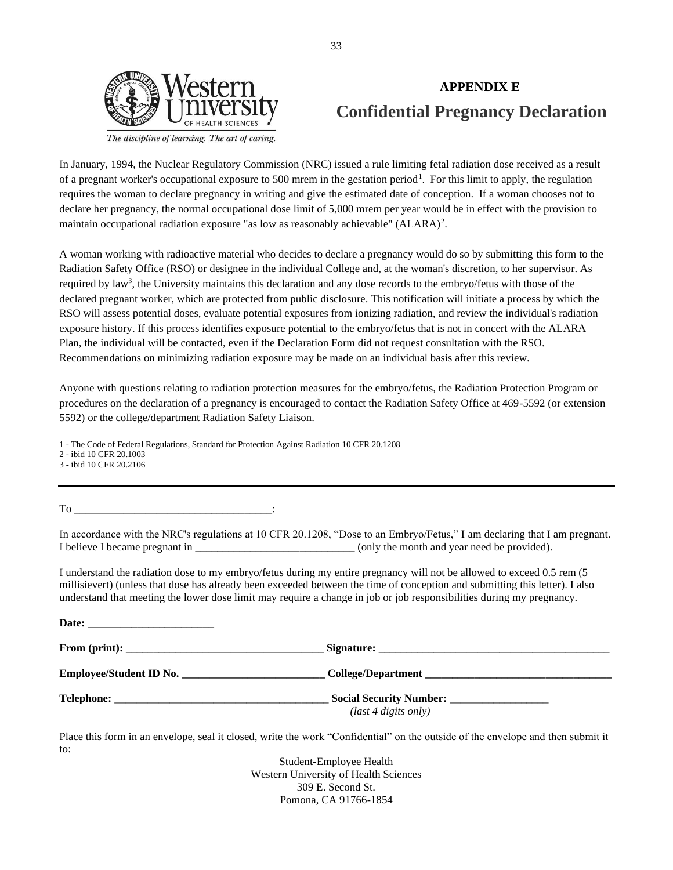

## **APPENDIX E Confidential Pregnancy Declaration**

In January, 1994, the Nuclear Regulatory Commission (NRC) issued a rule limiting fetal radiation dose received as a result of a pregnant worker's occupational exposure to 500 mrem in the gestation period<sup>1</sup>. For this limit to apply, the regulation requires the woman to declare pregnancy in writing and give the estimated date of conception. If a woman chooses not to declare her pregnancy, the normal occupational dose limit of 5,000 mrem per year would be in effect with the provision to maintain occupational radiation exposure "as low as reasonably achievable" (ALARA)<sup>2</sup>.

A woman working with radioactive material who decides to declare a pregnancy would do so by submitting this form to the Radiation Safety Office (RSO) or designee in the individual College and, at the woman's discretion, to her supervisor. As required by law<sup>3</sup>, the University maintains this declaration and any dose records to the embryo/fetus with those of the declared pregnant worker, which are protected from public disclosure. This notification will initiate a process by which the RSO will assess potential doses, evaluate potential exposures from ionizing radiation, and review the individual's radiation exposure history. If this process identifies exposure potential to the embryo/fetus that is not in concert with the ALARA Plan, the individual will be contacted, even if the Declaration Form did not request consultation with the RSO. Recommendations on minimizing radiation exposure may be made on an individual basis after this review.

Anyone with questions relating to radiation protection measures for the embryo/fetus, the Radiation Protection Program or procedures on the declaration of a pregnancy is encouraged to contact the Radiation Safety Office at 469-5592 (or extension 5592) or the college/department Radiation Safety Liaison.

1 - The Code of Federal Regulations, Standard for Protection Against Radiation 10 CFR 20.1208

2 - ibid 10 CFR 20.1003

3 - ibid 10 CFR 20.2106

To

In accordance with the NRC's regulations at 10 CFR 20.1208, "Dose to an Embryo/Fetus," I am declaring that I am pregnant. I believe I became pregnant in \_\_\_\_\_\_\_\_\_\_\_\_\_\_\_\_\_\_\_\_\_\_\_\_\_\_\_\_\_ (only the month and year need be provided).

I understand the radiation dose to my embryo/fetus during my entire pregnancy will not be allowed to exceed 0.5 rem (5 millisievert) (unless that dose has already been exceeded between the time of conception and submitting this letter). I also understand that meeting the lower dose limit may require a change in job or job responsibilities during my pregnancy.

| Employee/Student ID No. |                       |
|-------------------------|-----------------------|
|                         | $last 4 digits only)$ |

Place this form in an envelope, seal it closed, write the work "Confidential" on the outside of the envelope and then submit it to:

> Student-Employee Health Western University of Health Sciences 309 E. Second St. Pomona, CA 91766-1854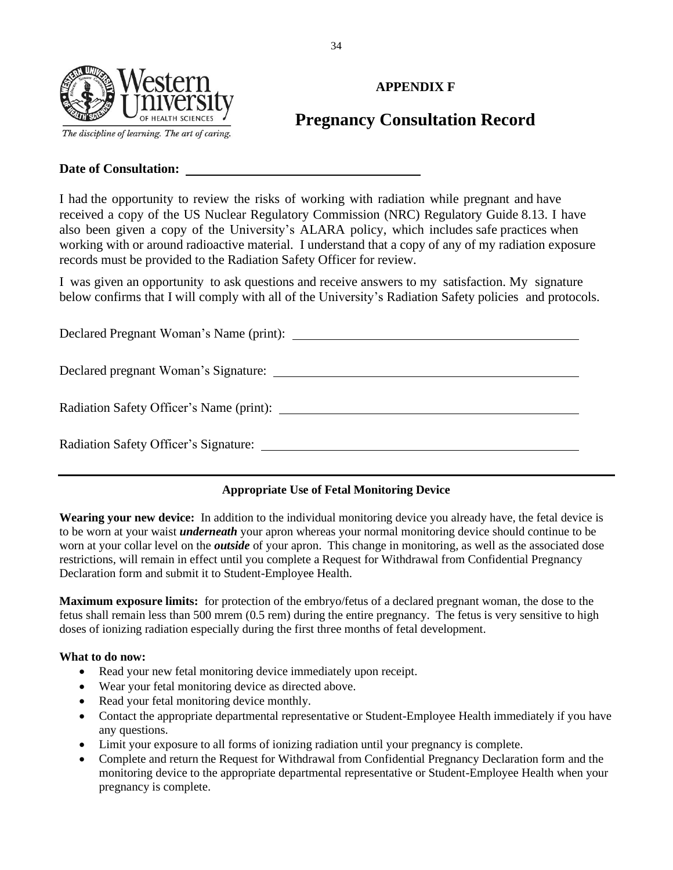

## **APPENDIX F**

## **Pregnancy Consultation Record**

#### **Date of Consultation:**

I had the opportunity to review the risks of working with radiation while pregnant and have received a copy of the US Nuclear Regulatory Commission (NRC) Regulatory Guide 8.13. I have also been given a copy of the University's ALARA policy, which includes safe practices when working with or around radioactive material. I understand that a copy of any of my radiation exposure records must be provided to the Radiation Safety Officer for review.

I was given an opportunity to ask questions and receive answers to my satisfaction. My signature below confirms that I will comply with all of the University's Radiation Safety policies and protocols.

Declared Pregnant Woman's Name (print): Declared pregnant Woman's Signature: Radiation Safety Officer's Name (print): Radiation Safety Officer's Signature:

### **Appropriate Use of Fetal Monitoring Device**

**Wearing your new device:** In addition to the individual monitoring device you already have, the fetal device is to be worn at your waist *underneath* your apron whereas your normal monitoring device should continue to be worn at your collar level on the *outside* of your apron. This change in monitoring, as well as the associated dose restrictions, will remain in effect until you complete a Request for Withdrawal from Confidential Pregnancy Declaration form and submit it to Student-Employee Health.

**Maximum exposure limits:** for protection of the embryo/fetus of a declared pregnant woman, the dose to the fetus shall remain less than 500 mrem (0.5 rem) during the entire pregnancy. The fetus is very sensitive to high doses of ionizing radiation especially during the first three months of fetal development.

#### **What to do now:**

- Read your new fetal monitoring device immediately upon receipt.
- Wear your fetal monitoring device as directed above.
- Read your fetal monitoring device monthly.
- Contact the appropriate departmental representative or Student-Employee Health immediately if you have any questions.
- Limit your exposure to all forms of ionizing radiation until your pregnancy is complete.
- Complete and return the Request for Withdrawal from Confidential Pregnancy Declaration form and the monitoring device to the appropriate departmental representative or Student-Employee Health when your pregnancy is complete.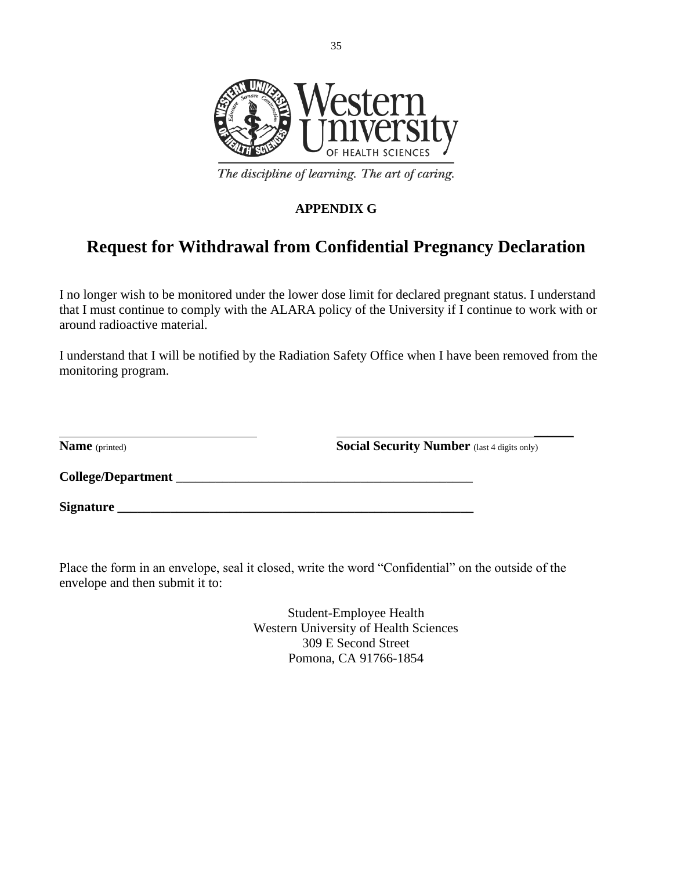

The discipline of learning. The art of caring.

## **APPENDIX G**

## **Request for Withdrawal from Confidential Pregnancy Declaration**

I no longer wish to be monitored under the lower dose limit for declared pregnant status. I understand that I must continue to comply with the ALARA policy of the University if I continue to work with or around radioactive material.

I understand that I will be notified by the Radiation Safety Office when I have been removed from the monitoring program.

| <b>Name</b> (printed) | <b>Social Security Number</b> (last 4 digits only) |
|-----------------------|----------------------------------------------------|
| College/Department    |                                                    |
| <b>Signature</b>      |                                                    |

Place the form in an envelope, seal it closed, write the word "Confidential" on the outside of the envelope and then submit it to:

> Student-Employee Health Western University of Health Sciences 309 E Second Street Pomona, CA 91766-1854